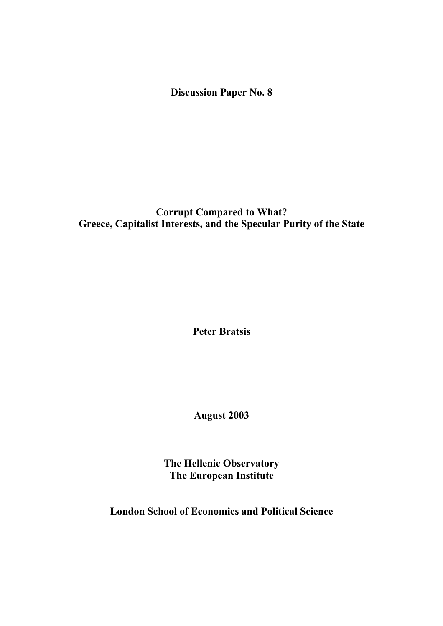**Discussion Paper No. 8** 

**Corrupt Compared to What? Greece, Capitalist Interests, and the Specular Purity of the State** 

**Peter Bratsis** 

**August 2003** 

**The Hellenic Observatory The European Institute** 

**London School of Economics and Political Science**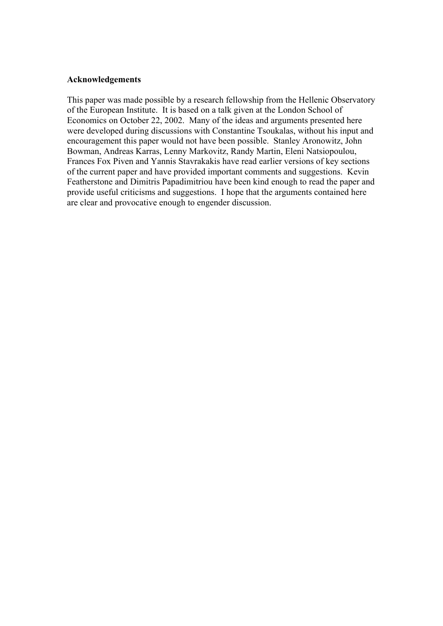# **Acknowledgements**

This paper was made possible by a research fellowship from the Hellenic Observatory of the European Institute. It is based on a talk given at the London School of Economics on October 22, 2002. Many of the ideas and arguments presented here were developed during discussions with Constantine Tsoukalas, without his input and encouragement this paper would not have been possible. Stanley Aronowitz, John Bowman, Andreas Karras, Lenny Markovitz, Randy Martin, Eleni Natsiopoulou, Frances Fox Piven and Yannis Stavrakakis have read earlier versions of key sections of the current paper and have provided important comments and suggestions. Kevin Featherstone and Dimitris Papadimitriou have been kind enough to read the paper and provide useful criticisms and suggestions. I hope that the arguments contained here are clear and provocative enough to engender discussion.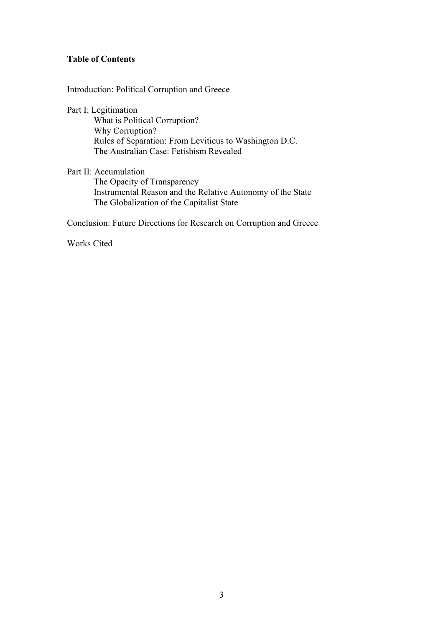# **Table of Contents**

Introduction: Political Corruption and Greece

Part I: Legitimation What is Political Corruption? Why Corruption? Rules of Separation: From Leviticus to Washington D.C. The Australian Case: Fetishism Revealed

Part II: Accumulation The Opacity of Transparency Instrumental Reason and the Relative Autonomy of the State The Globalization of the Capitalist State

Conclusion: Future Directions for Research on Corruption and Greece

Works Cited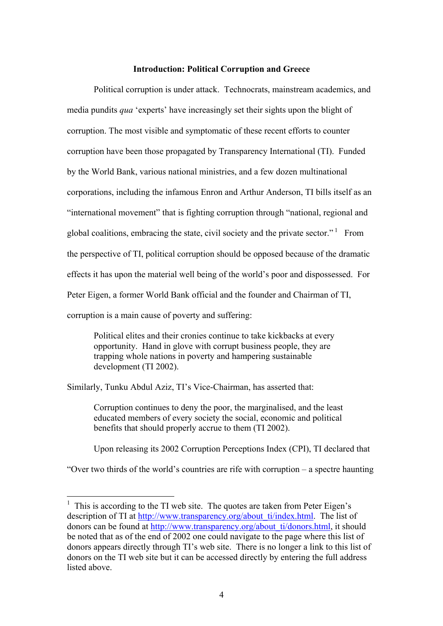## **Introduction: Political Corruption and Greece**

Political corruption is under attack. Technocrats, mainstream academics, and media pundits *qua* 'experts' have increasingly set their sights upon the blight of corruption. The most visible and symptomatic of these recent efforts to counter corruption have been those propagated by Transparency International (TI). Funded by the World Bank, various national ministries, and a few dozen multinational corporations, including the infamous Enron and Arthur Anderson, TI bills itself as an "international movement" that is fighting corruption through "national, regional and global coalitions, embracing the state, civil society and the private sector."<sup>1</sup> From the perspective of TI, political corruption should be opposed because of the dramatic effects it has upon the material well being of the world's poor and dispossessed. For Peter Eigen, a former World Bank official and the founder and Chairman of TI, corruption is a main cause of poverty and suffering:

Political elites and their cronies continue to take kickbacks at every opportunity. Hand in glove with corrupt business people, they are trapping whole nations in poverty and hampering sustainable development (TI 2002).

Similarly, Tunku Abdul Aziz, TI's Vice-Chairman, has asserted that:

Corruption continues to deny the poor, the marginalised, and the least educated members of every society the social, economic and political benefits that should properly accrue to them (TI 2002).

Upon releasing its 2002 Corruption Perceptions Index (CPI), TI declared that

"Over two thirds of the world's countries are rife with corruption – a spectre haunting

<span id="page-3-0"></span><sup>&</sup>lt;sup>1</sup> This is according to the TI web site. The quotes are taken from Peter Eigen's description of TI at [http://www.transparency.org/about\\_ti/index.html.](http://www.transparency.org/about_ti/index.html) The list of donors can be found at [http://www.transparency.org/about\\_ti/donors.html,](http://www.transparency.org/about_ti/donors.html) it should be noted that as of the end of 2002 one could navigate to the page where this list of donors appears directly through TI's web site. There is no longer a link to this list of donors on the TI web site but it can be accessed directly by entering the full address listed above.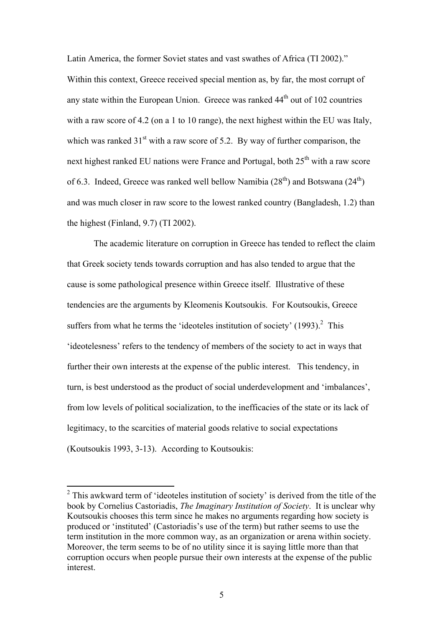Latin America, the former Soviet states and vast swathes of Africa (TI 2002)." Within this context, Greece received special mention as, by far, the most corrupt of any state within the European Union. Greece was ranked  $44<sup>th</sup>$  out of 102 countries with a raw score of 4.2 (on a 1 to 10 range), the next highest within the EU was Italy, which was ranked  $31<sup>st</sup>$  with a raw score of 5.2. By way of further comparison, the next highest ranked EU nations were France and Portugal, both  $25<sup>th</sup>$  with a raw score of 6.3. Indeed, Greece was ranked well bellow Namibia ( $28<sup>th</sup>$ ) and Botswana ( $24<sup>th</sup>$ ) and was much closer in raw score to the lowest ranked country (Bangladesh, 1.2) than the highest (Finland, 9.7) (TI 2002).

The academic literature on corruption in Greece has tended to reflect the claim that Greek society tends towards corruption and has also tended to argue that the cause is some pathological presence within Greece itself. Illustrative of these tendencies are the arguments by Kleomenis Koutsoukis. For Koutsoukis, Greece suffers from what he terms the 'ideoteles institution of society'  $(1993)$ <sup>2</sup>. This 'ideotelesness' refers to the tendency of members of the society to act in ways that further their own interests at the expense of the public interest. This tendency, in turn, is best understood as the product of social underdevelopment and 'imbalances', from low levels of political socialization, to the inefficacies of the state or its lack of legitimacy, to the scarcities of material goods relative to social expectations (Koutsoukis 1993, 3-13). According to Koutsoukis:

<span id="page-4-0"></span> $2$  This awkward term of 'ideoteles institution of society' is derived from the title of the book by Cornelius Castoriadis, *The Imaginary Institution of Society*. It is unclear why Koutsoukis chooses this term since he makes no arguments regarding how society is produced or 'instituted' (Castoriadis's use of the term) but rather seems to use the term institution in the more common way, as an organization or arena within society. Moreover, the term seems to be of no utility since it is saying little more than that corruption occurs when people pursue their own interests at the expense of the public interest.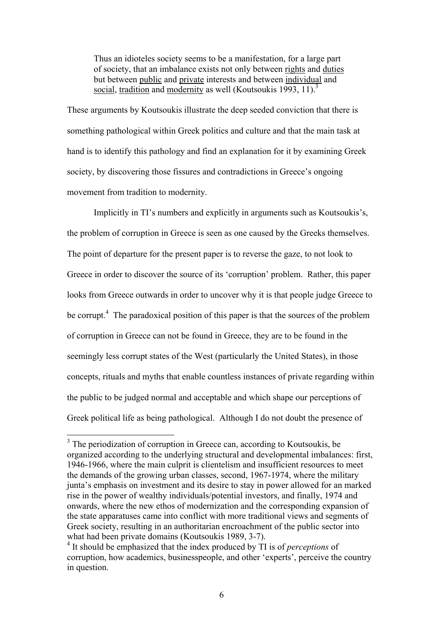Thus an idioteles society seems to be a manifestation, for a large part of society, that an imbalance exists not only between rights and duties but between public and private interests and between individual and social, tradition and modernity as well (Koutsoukis 199[3](#page-5-0), 11). $3$ 

These arguments by Koutsoukis illustrate the deep seeded conviction that there is something pathological within Greek politics and culture and that the main task at hand is to identify this pathology and find an explanation for it by examining Greek society, by discovering those fissures and contradictions in Greece's ongoing movement from tradition to modernity.

Implicitly in TI's numbers and explicitly in arguments such as Koutsoukis's, the problem of corruption in Greece is seen as one caused by the Greeks themselves. The point of departure for the present paper is to reverse the gaze, to not look to Greece in order to discover the source of its 'corruption' problem. Rather, this paper looks from Greece outwards in order to uncover why it is that people judge Greece to be corrupt.<sup>4</sup> The paradoxical position of this paper is that the sources of the problem of corruption in Greece can not be found in Greece, they are to be found in the seemingly less corrupt states of the West (particularly the United States), in those concepts, rituals and myths that enable countless instances of private regarding within the public to be judged normal and acceptable and which shape our perceptions of Greek political life as being pathological. Although I do not doubt the presence of

<span id="page-5-0"></span><sup>&</sup>lt;sup>3</sup> The periodization of corruption in Greece can, according to Koutsoukis, be organized according to the underlying structural and developmental imbalances: first, 1946-1966, where the main culprit is clientelism and insufficient resources to meet the demands of the growing urban classes, second, 1967-1974, where the military junta's emphasis on investment and its desire to stay in power allowed for an marked rise in the power of wealthy individuals/potential investors, and finally, 1974 and onwards, where the new ethos of modernization and the corresponding expansion of the state apparatuses came into conflict with more traditional views and segments of Greek society, resulting in an authoritarian encroachment of the public sector into what had been private domains (Koutsoukis 1989, 3-7).

<span id="page-5-1"></span><sup>4</sup> It should be emphasized that the index produced by TI is of *perceptions* of corruption, how academics, businesspeople, and other 'experts', perceive the country in question.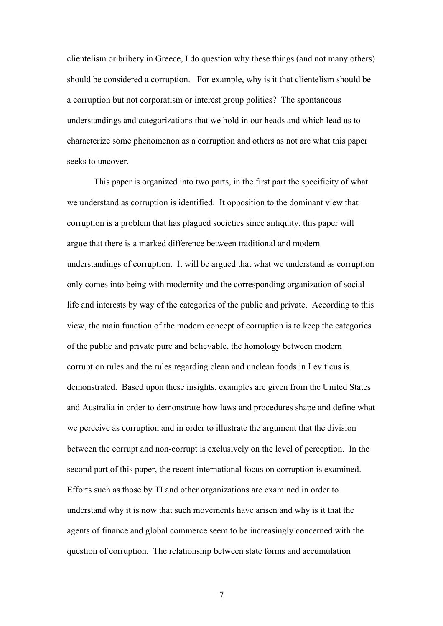clientelism or bribery in Greece, I do question why these things (and not many others) should be considered a corruption. For example, why is it that clientelism should be a corruption but not corporatism or interest group politics? The spontaneous understandings and categorizations that we hold in our heads and which lead us to characterize some phenomenon as a corruption and others as not are what this paper seeks to uncover

This paper is organized into two parts, in the first part the specificity of what we understand as corruption is identified. It opposition to the dominant view that corruption is a problem that has plagued societies since antiquity, this paper will argue that there is a marked difference between traditional and modern understandings of corruption. It will be argued that what we understand as corruption only comes into being with modernity and the corresponding organization of social life and interests by way of the categories of the public and private. According to this view, the main function of the modern concept of corruption is to keep the categories of the public and private pure and believable, the homology between modern corruption rules and the rules regarding clean and unclean foods in Leviticus is demonstrated. Based upon these insights, examples are given from the United States and Australia in order to demonstrate how laws and procedures shape and define what we perceive as corruption and in order to illustrate the argument that the division between the corrupt and non-corrupt is exclusively on the level of perception. In the second part of this paper, the recent international focus on corruption is examined. Efforts such as those by TI and other organizations are examined in order to understand why it is now that such movements have arisen and why is it that the agents of finance and global commerce seem to be increasingly concerned with the question of corruption. The relationship between state forms and accumulation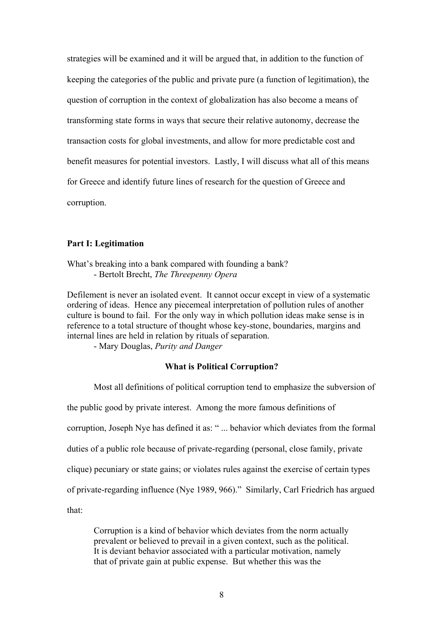strategies will be examined and it will be argued that, in addition to the function of keeping the categories of the public and private pure (a function of legitimation), the question of corruption in the context of globalization has also become a means of transforming state forms in ways that secure their relative autonomy, decrease the transaction costs for global investments, and allow for more predictable cost and benefit measures for potential investors. Lastly, I will discuss what all of this means for Greece and identify future lines of research for the question of Greece and corruption.

# **Part I: Legitimation**

What's breaking into a bank compared with founding a bank? - Bertolt Brecht, *The Threepenny Opera*

Defilement is never an isolated event. It cannot occur except in view of a systematic ordering of ideas. Hence any piecemeal interpretation of pollution rules of another culture is bound to fail. For the only way in which pollution ideas make sense is in reference to a total structure of thought whose key-stone, boundaries, margins and internal lines are held in relation by rituals of separation.

- Mary Douglas, *Purity and Danger* 

#### **What is Political Corruption?**

Most all definitions of political corruption tend to emphasize the subversion of the public good by private interest. Among the more famous definitions of corruption, Joseph Nye has defined it as: " ... behavior which deviates from the formal duties of a public role because of private-regarding (personal, close family, private clique) pecuniary or state gains; or violates rules against the exercise of certain types of private-regarding influence (Nye 1989, 966)." Similarly, Carl Friedrich has argued that:

Corruption is a kind of behavior which deviates from the norm actually prevalent or believed to prevail in a given context, such as the political. It is deviant behavior associated with a particular motivation, namely that of private gain at public expense. But whether this was the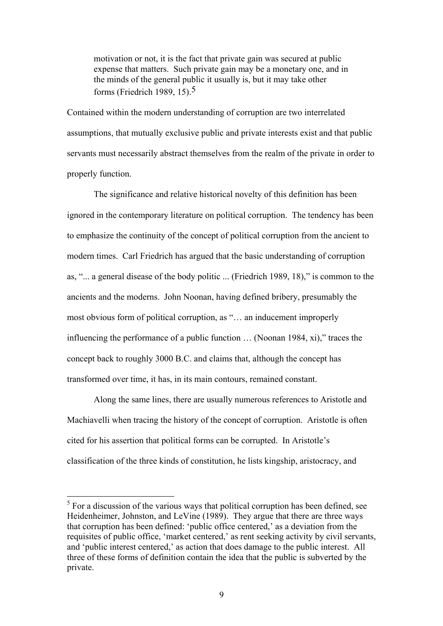motivation or not, it is the fact that private gain was secured at public expense that matters. Such private gain may be a monetary one, and in the minds of the general public it usually is, but it may take other forms (Friedrich 1989, 15).<sup>5</sup>

Contained within the modern understanding of corruption are two interrelated assumptions, that mutually exclusive public and private interests exist and that public servants must necessarily abstract themselves from the realm of the private in order to properly function.

The significance and relative historical novelty of this definition has been ignored in the contemporary literature on political corruption. The tendency has been to emphasize the continuity of the concept of political corruption from the ancient to modern times. Carl Friedrich has argued that the basic understanding of corruption as, "... a general disease of the body politic ... (Friedrich 1989, 18)," is common to the ancients and the moderns. John Noonan, having defined bribery, presumably the most obvious form of political corruption, as "… an inducement improperly influencing the performance of a public function … (Noonan 1984, xi)," traces the concept back to roughly 3000 B.C. and claims that, although the concept has transformed over time, it has, in its main contours, remained constant.

Along the same lines, there are usually numerous references to Aristotle and Machiavelli when tracing the history of the concept of corruption. Aristotle is often cited for his assertion that political forms can be corrupted. In Aristotle's classification of the three kinds of constitution, he lists kingship, aristocracy, and

<span id="page-8-0"></span><sup>&</sup>lt;sup>5</sup> For a discussion of the various ways that political corruption has been defined, see Heidenheimer, Johnston, and LeVine (1989). They argue that there are three ways that corruption has been defined: 'public office centered,' as a deviation from the requisites of public office, 'market centered,' as rent seeking activity by civil servants, and 'public interest centered,' as action that does damage to the public interest. All three of these forms of definition contain the idea that the public is subverted by the private.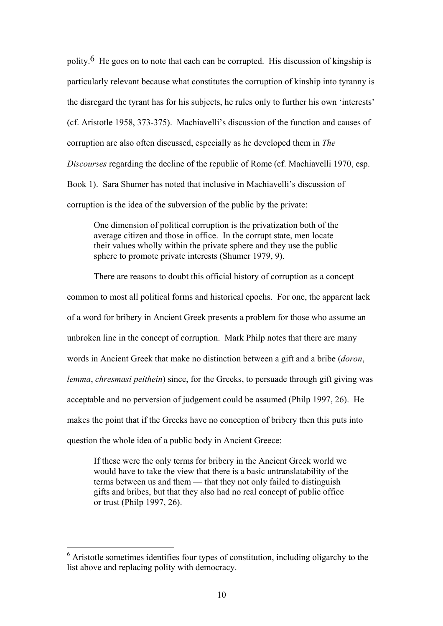polity[.6](#page-9-0) He goes on to note that each can be corrupted. His discussion of kingship is particularly relevant because what constitutes the corruption of kinship into tyranny is the disregard the tyrant has for his subjects, he rules only to further his own 'interests' (cf. Aristotle 1958, 373-375). Machiavelli's discussion of the function and causes of corruption are also often discussed, especially as he developed them in *The Discourses* regarding the decline of the republic of Rome (cf. Machiavelli 1970, esp. Book 1). Sara Shumer has noted that inclusive in Machiavelli's discussion of corruption is the idea of the subversion of the public by the private:

One dimension of political corruption is the privatization both of the average citizen and those in office. In the corrupt state, men locate their values wholly within the private sphere and they use the public sphere to promote private interests (Shumer 1979, 9).

There are reasons to doubt this official history of corruption as a concept common to most all political forms and historical epochs. For one, the apparent lack of a word for bribery in Ancient Greek presents a problem for those who assume an unbroken line in the concept of corruption. Mark Philp notes that there are many words in Ancient Greek that make no distinction between a gift and a bribe (*doron*, *lemma*, *chresmasi peithein*) since, for the Greeks, to persuade through gift giving was acceptable and no perversion of judgement could be assumed (Philp 1997, 26). He makes the point that if the Greeks have no conception of bribery then this puts into question the whole idea of a public body in Ancient Greece:

If these were the only terms for bribery in the Ancient Greek world we would have to take the view that there is a basic untranslatability of the terms between us and them — that they not only failed to distinguish gifts and bribes, but that they also had no real concept of public office or trust (Philp 1997, 26).

<span id="page-9-0"></span> $6$  Aristotle sometimes identifies four types of constitution, including oligarchy to the list above and replacing polity with democracy.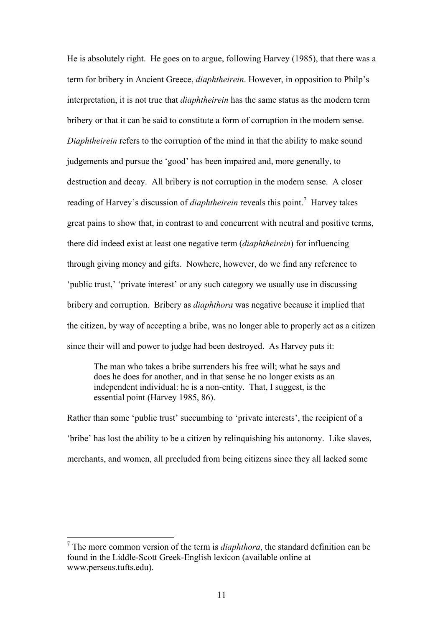He is absolutely right. He goes on to argue, following Harvey (1985), that there was a term for bribery in Ancient Greece, *diaphtheirein*. However, in opposition to Philp's interpretation, it is not true that *diaphtheirein* has the same status as the modern term bribery or that it can be said to constitute a form of corruption in the modern sense. *Diaphtheirein* refers to the corruption of the mind in that the ability to make sound judgements and pursue the 'good' has been impaired and, more generally, to destruction and decay. All bribery is not corruption in the modern sense. A closer reading of Harvey's discussion of *diaphtheirein* reveals this point.<sup>[7](#page-10-0)</sup> Harvey takes great pains to show that, in contrast to and concurrent with neutral and positive terms, there did indeed exist at least one negative term (*diaphtheirein*) for influencing through giving money and gifts. Nowhere, however, do we find any reference to 'public trust,' 'private interest' or any such category we usually use in discussing bribery and corruption. Bribery as *diaphthora* was negative because it implied that the citizen, by way of accepting a bribe, was no longer able to properly act as a citizen since their will and power to judge had been destroyed. As Harvey puts it:

The man who takes a bribe surrenders his free will; what he says and does he does for another, and in that sense he no longer exists as an independent individual: he is a non-entity. That, I suggest, is the essential point (Harvey 1985, 86).

Rather than some 'public trust' succumbing to 'private interests', the recipient of a 'bribe' has lost the ability to be a citizen by relinquishing his autonomy. Like slaves, merchants, and women, all precluded from being citizens since they all lacked some

<span id="page-10-0"></span> $<sup>7</sup>$  The more common version of the term is *diaphthora*, the standard definition can be</sup> found in the Liddle-Scott Greek-English lexicon (available online at www.perseus.tufts.edu).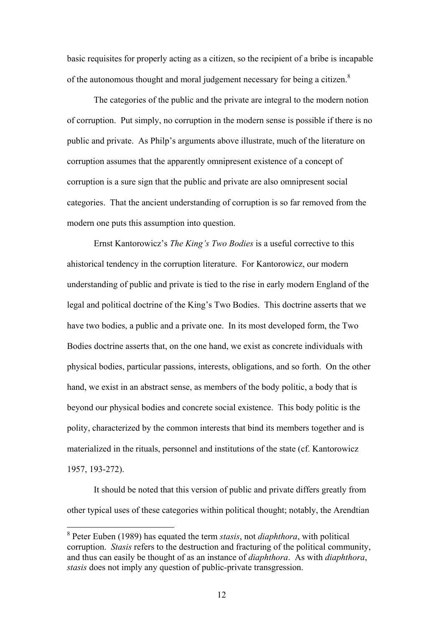basic requisites for properly acting as a citizen, so the recipient of a bribe is incapable of the autonomous thought and moral judgement necessary for being a citizen.<sup>[8](#page-11-0)</sup>

The categories of the public and the private are integral to the modern notion of corruption. Put simply, no corruption in the modern sense is possible if there is no public and private. As Philp's arguments above illustrate, much of the literature on corruption assumes that the apparently omnipresent existence of a concept of corruption is a sure sign that the public and private are also omnipresent social categories. That the ancient understanding of corruption is so far removed from the modern one puts this assumption into question.

 Ernst Kantorowicz's *The King's Two Bodies* is a useful corrective to this ahistorical tendency in the corruption literature. For Kantorowicz, our modern understanding of public and private is tied to the rise in early modern England of the legal and political doctrine of the King's Two Bodies. This doctrine asserts that we have two bodies, a public and a private one. In its most developed form, the Two Bodies doctrine asserts that, on the one hand, we exist as concrete individuals with physical bodies, particular passions, interests, obligations, and so forth. On the other hand, we exist in an abstract sense, as members of the body politic, a body that is beyond our physical bodies and concrete social existence. This body politic is the polity, characterized by the common interests that bind its members together and is materialized in the rituals, personnel and institutions of the state (cf. Kantorowicz 1957, 193-272).

It should be noted that this version of public and private differs greatly from other typical uses of these categories within political thought; notably, the Arendtian

<span id="page-11-0"></span><sup>8</sup> Peter Euben (1989) has equated the term *stasis*, not *diaphthora*, with political corruption. *Stasis* refers to the destruction and fracturing of the political community, and thus can easily be thought of as an instance of *diaphthora*. As with *diaphthora*, *stasis* does not imply any question of public-private transgression.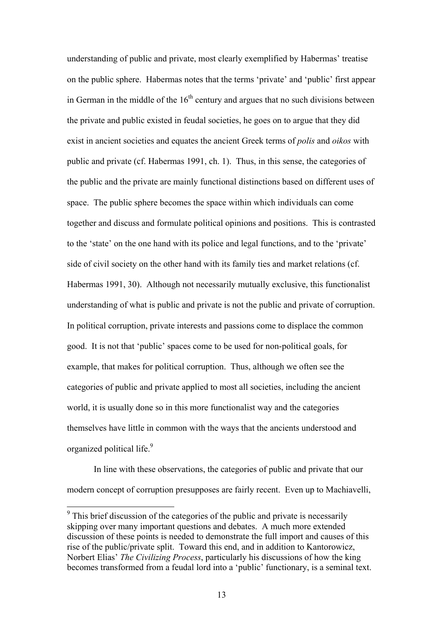understanding of public and private, most clearly exemplified by Habermas' treatise on the public sphere. Habermas notes that the terms 'private' and 'public' first appear in German in the middle of the  $16<sup>th</sup>$  century and argues that no such divisions between the private and public existed in feudal societies, he goes on to argue that they did exist in ancient societies and equates the ancient Greek terms of *polis* and *oikos* with public and private (cf. Habermas 1991, ch. 1). Thus, in this sense, the categories of the public and the private are mainly functional distinctions based on different uses of space. The public sphere becomes the space within which individuals can come together and discuss and formulate political opinions and positions. This is contrasted to the 'state' on the one hand with its police and legal functions, and to the 'private' side of civil society on the other hand with its family ties and market relations (cf. Habermas 1991, 30). Although not necessarily mutually exclusive, this functionalist understanding of what is public and private is not the public and private of corruption. In political corruption, private interests and passions come to displace the common good. It is not that 'public' spaces come to be used for non-political goals, for example, that makes for political corruption. Thus, although we often see the categories of public and private applied to most all societies, including the ancient world, it is usually done so in this more functionalist way and the categories themselves have little in common with the ways that the ancients understood and organized political life.<sup>[9](#page-12-0)</sup>

In line with these observations, the categories of public and private that our modern concept of corruption presupposes are fairly recent. Even up to Machiavelli,

<span id="page-12-0"></span><sup>&</sup>lt;sup>9</sup> This brief discussion of the categories of the public and private is necessarily skipping over many important questions and debates. A much more extended discussion of these points is needed to demonstrate the full import and causes of this rise of the public/private split. Toward this end, and in addition to Kantorowicz, Norbert Elias' *The Civilizing Process*, particularly his discussions of how the king becomes transformed from a feudal lord into a 'public' functionary, is a seminal text.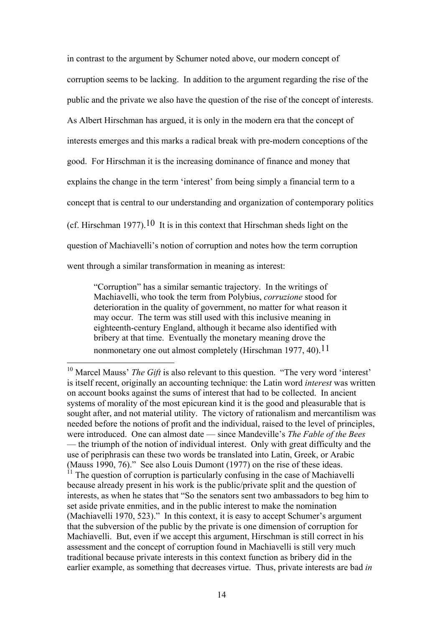<span id="page-13-1"></span>in contrast to the argument by Schumer noted above, our modern concept of corruption seems to be lacking. In addition to the argument regarding the rise of the public and the private we also have the question of the rise of the concept of interests. As Albert Hirschman has argued, it is only in the modern era that the concept of interests emerges and this marks a radical break with pre-modern conceptions of the good. For Hirschman it is the increasing dominance of finance and money that explains the change in the term 'interest' from being simply a financial term to a concept that is central to our understanding and organization of contemporary politics (cf. Hirschman 1977).<sup>10</sup> It is in this context that Hirschman sheds light on the question of Machiavelli's notion of corruption and notes how the term corruption went through a similar transformation in meaning as interest:

"Corruption" has a similar semantic trajectory. In the writings of Machiavelli, who took the term from Polybius, *corruzione* stood for deterioration in the quality of government, no matter for what reason it may occur. The term was still used with this inclusive meaning in eighteenth-century England, although it became also identified with bribery at that time. Eventually the monetary meaning drove the nonmonetary one out almost completely (Hirschman 1977, 40).<sup>[11](#page-13-1)</sup>

<span id="page-13-0"></span><sup>&</sup>lt;sup>10</sup> Marcel Mauss' *The Gift* is also relevant to this question. "The very word 'interest' is itself recent, originally an accounting technique: the Latin word *interest* was written on account books against the sums of interest that had to be collected. In ancient systems of morality of the most epicurean kind it is the good and pleasurable that is sought after, and not material utility. The victory of rationalism and mercantilism was needed before the notions of profit and the individual, raised to the level of principles, were introduced. One can almost date — since Mandeville's *The Fable of the Bees* — the triumph of the notion of individual interest. Only with great difficulty and the use of periphrasis can these two words be translated into Latin, Greek, or Arabic (Mauss 1990, 76)." See also Louis Dumont (1977) on the rise of these ideas.

 $11$ <sup>11</sup> The question of corruption is particularly confusing in the case of Machiavelli because already present in his work is the public/private split and the question of interests, as when he states that "So the senators sent two ambassadors to beg him to set aside private enmities, and in the public interest to make the nomination (Machiavelli 1970, 523)." In this context, it is easy to accept Schumer's argument that the subversion of the public by the private is one dimension of corruption for Machiavelli. But, even if we accept this argument, Hirschman is still correct in his assessment and the concept of corruption found in Machiavelli is still very much traditional because private interests in this context function as bribery did in the earlier example, as something that decreases virtue. Thus, private interests are bad *in*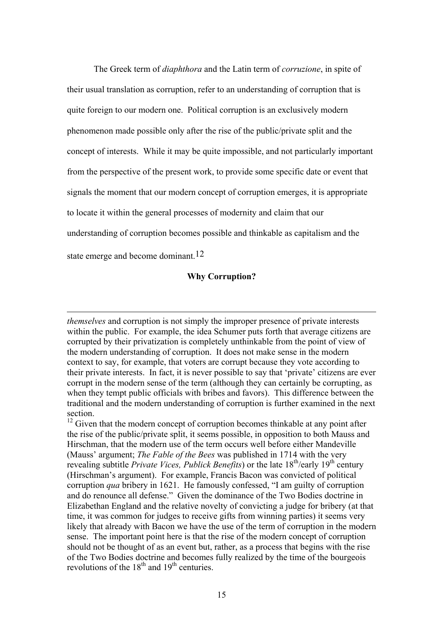The Greek term of *diaphthora* and the Latin term of *corruzione*, in spite of their usual translation as corruption, refer to an understanding of corruption that is quite foreign to our modern one. Political corruption is an exclusively modern phenomenon made possible only after the rise of the public/private split and the concept of interests. While it may be quite impossible, and not particularly important from the perspective of the present work, to provide some specific date or event that signals the moment that our modern concept of corruption emerges, it is appropriate to locate it within the general processes of modernity and claim that our understanding of corruption becomes possible and thinkable as capitalism and the state emerge and become dominant.<sup>[12](#page-14-0)</sup>

# **Why Corruption?**

 $\overline{a}$ 

*themselves* and corruption is not simply the improper presence of private interests within the public. For example, the idea Schumer puts forth that average citizens are corrupted by their privatization is completely unthinkable from the point of view of the modern understanding of corruption. It does not make sense in the modern context to say, for example, that voters are corrupt because they vote according to their private interests. In fact, it is never possible to say that 'private' citizens are ever corrupt in the modern sense of the term (although they can certainly be corrupting, as when they tempt public officials with bribes and favors). This difference between the traditional and the modern understanding of corruption is further examined in the next section.

<span id="page-14-0"></span><sup>12</sup> Given that the modern concept of corruption becomes thinkable at any point after the rise of the public/private split, it seems possible, in opposition to both Mauss and Hirschman, that the modern use of the term occurs well before either Mandeville (Mauss' argument; *The Fable of the Bees* was published in 1714 with the very revealing subtitle *Private Vices, Publick Benefits*) or the late  $18^{th}$ /early  $19^{th}$  century (Hirschman's argument). For example, Francis Bacon was convicted of political corruption *qua* bribery in 1621. He famously confessed, "I am guilty of corruption and do renounce all defense." Given the dominance of the Two Bodies doctrine in Elizabethan England and the relative novelty of convicting a judge for bribery (at that time, it was common for judges to receive gifts from winning parties) it seems very likely that already with Bacon we have the use of the term of corruption in the modern sense. The important point here is that the rise of the modern concept of corruption should not be thought of as an event but, rather, as a process that begins with the rise of the Two Bodies doctrine and becomes fully realized by the time of the bourgeois revolutions of the  $18<sup>th</sup>$  and  $19<sup>th</sup>$  centuries.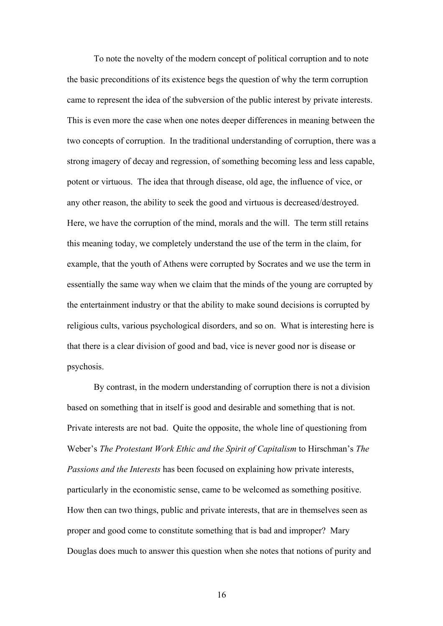To note the novelty of the modern concept of political corruption and to note the basic preconditions of its existence begs the question of why the term corruption came to represent the idea of the subversion of the public interest by private interests. This is even more the case when one notes deeper differences in meaning between the two concepts of corruption. In the traditional understanding of corruption, there was a strong imagery of decay and regression, of something becoming less and less capable, potent or virtuous. The idea that through disease, old age, the influence of vice, or any other reason, the ability to seek the good and virtuous is decreased/destroyed. Here, we have the corruption of the mind, morals and the will. The term still retains this meaning today, we completely understand the use of the term in the claim, for example, that the youth of Athens were corrupted by Socrates and we use the term in essentially the same way when we claim that the minds of the young are corrupted by the entertainment industry or that the ability to make sound decisions is corrupted by religious cults, various psychological disorders, and so on. What is interesting here is that there is a clear division of good and bad, vice is never good nor is disease or psychosis.

By contrast, in the modern understanding of corruption there is not a division based on something that in itself is good and desirable and something that is not. Private interests are not bad. Quite the opposite, the whole line of questioning from Weber's *The Protestant Work Ethic and the Spirit of Capitalism* to Hirschman's *The Passions and the Interests* has been focused on explaining how private interests, particularly in the economistic sense, came to be welcomed as something positive. How then can two things, public and private interests, that are in themselves seen as proper and good come to constitute something that is bad and improper? Mary Douglas does much to answer this question when she notes that notions of purity and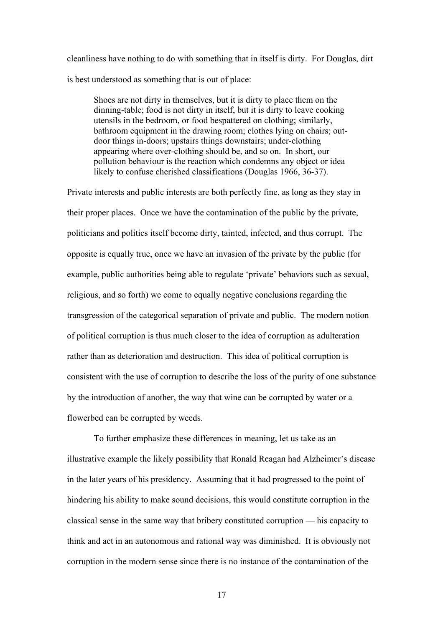cleanliness have nothing to do with something that in itself is dirty. For Douglas, dirt is best understood as something that is out of place:

Shoes are not dirty in themselves, but it is dirty to place them on the dinning-table; food is not dirty in itself, but it is dirty to leave cooking utensils in the bedroom, or food bespattered on clothing; similarly, bathroom equipment in the drawing room; clothes lying on chairs; outdoor things in-doors; upstairs things downstairs; under-clothing appearing where over-clothing should be, and so on. In short, our pollution behaviour is the reaction which condemns any object or idea likely to confuse cherished classifications (Douglas 1966, 36-37).

Private interests and public interests are both perfectly fine, as long as they stay in their proper places. Once we have the contamination of the public by the private, politicians and politics itself become dirty, tainted, infected, and thus corrupt. The opposite is equally true, once we have an invasion of the private by the public (for example, public authorities being able to regulate 'private' behaviors such as sexual, religious, and so forth) we come to equally negative conclusions regarding the transgression of the categorical separation of private and public. The modern notion of political corruption is thus much closer to the idea of corruption as adulteration rather than as deterioration and destruction. This idea of political corruption is consistent with the use of corruption to describe the loss of the purity of one substance by the introduction of another, the way that wine can be corrupted by water or a flowerbed can be corrupted by weeds.

To further emphasize these differences in meaning, let us take as an illustrative example the likely possibility that Ronald Reagan had Alzheimer's disease in the later years of his presidency. Assuming that it had progressed to the point of hindering his ability to make sound decisions, this would constitute corruption in the classical sense in the same way that bribery constituted corruption — his capacity to think and act in an autonomous and rational way was diminished. It is obviously not corruption in the modern sense since there is no instance of the contamination of the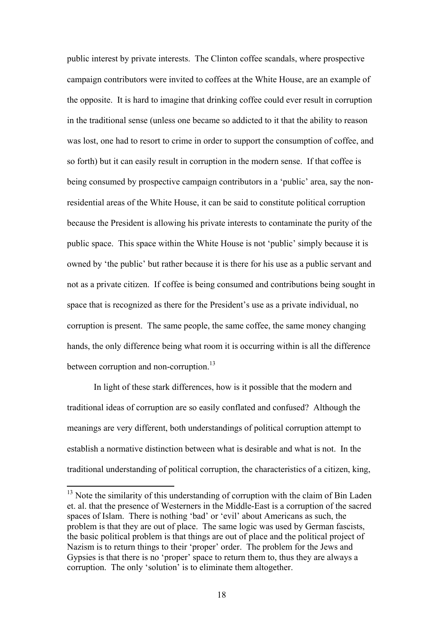public interest by private interests. The Clinton coffee scandals, where prospective campaign contributors were invited to coffees at the White House, are an example of the opposite. It is hard to imagine that drinking coffee could ever result in corruption in the traditional sense (unless one became so addicted to it that the ability to reason was lost, one had to resort to crime in order to support the consumption of coffee, and so forth) but it can easily result in corruption in the modern sense. If that coffee is being consumed by prospective campaign contributors in a 'public' area, say the nonresidential areas of the White House, it can be said to constitute political corruption because the President is allowing his private interests to contaminate the purity of the public space. This space within the White House is not 'public' simply because it is owned by 'the public' but rather because it is there for his use as a public servant and not as a private citizen. If coffee is being consumed and contributions being sought in space that is recognized as there for the President's use as a private individual, no corruption is present. The same people, the same coffee, the same money changing hands, the only difference being what room it is occurring within is all the difference between corruption and non-corruption. $13$ 

In light of these stark differences, how is it possible that the modern and traditional ideas of corruption are so easily conflated and confused? Although the meanings are very different, both understandings of political corruption attempt to establish a normative distinction between what is desirable and what is not. In the traditional understanding of political corruption, the characteristics of a citizen, king,

<span id="page-17-0"></span> $13$  Note the similarity of this understanding of corruption with the claim of Bin Laden et. al. that the presence of Westerners in the Middle-East is a corruption of the sacred spaces of Islam. There is nothing 'bad' or 'evil' about Americans as such, the problem is that they are out of place. The same logic was used by German fascists, the basic political problem is that things are out of place and the political project of Nazism is to return things to their 'proper' order. The problem for the Jews and Gypsies is that there is no 'proper' space to return them to, thus they are always a corruption. The only 'solution' is to eliminate them altogether.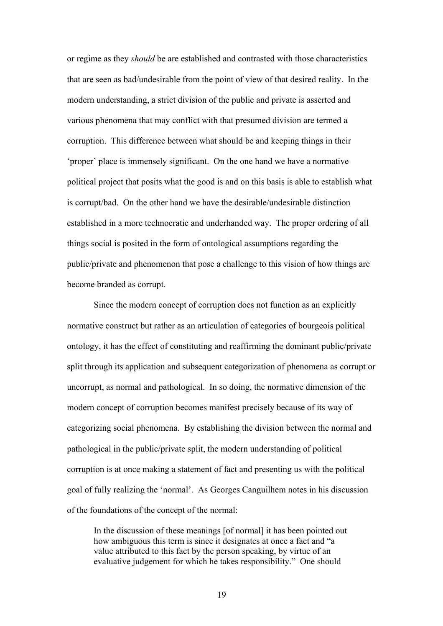or regime as they *should* be are established and contrasted with those characteristics that are seen as bad/undesirable from the point of view of that desired reality. In the modern understanding, a strict division of the public and private is asserted and various phenomena that may conflict with that presumed division are termed a corruption. This difference between what should be and keeping things in their 'proper' place is immensely significant. On the one hand we have a normative political project that posits what the good is and on this basis is able to establish what is corrupt/bad. On the other hand we have the desirable/undesirable distinction established in a more technocratic and underhanded way. The proper ordering of all things social is posited in the form of ontological assumptions regarding the public/private and phenomenon that pose a challenge to this vision of how things are become branded as corrupt.

Since the modern concept of corruption does not function as an explicitly normative construct but rather as an articulation of categories of bourgeois political ontology, it has the effect of constituting and reaffirming the dominant public/private split through its application and subsequent categorization of phenomena as corrupt or uncorrupt, as normal and pathological. In so doing, the normative dimension of the modern concept of corruption becomes manifest precisely because of its way of categorizing social phenomena. By establishing the division between the normal and pathological in the public/private split, the modern understanding of political corruption is at once making a statement of fact and presenting us with the political goal of fully realizing the 'normal'. As Georges Canguilhem notes in his discussion of the foundations of the concept of the normal:

In the discussion of these meanings [of normal] it has been pointed out how ambiguous this term is since it designates at once a fact and "a value attributed to this fact by the person speaking, by virtue of an evaluative judgement for which he takes responsibility." One should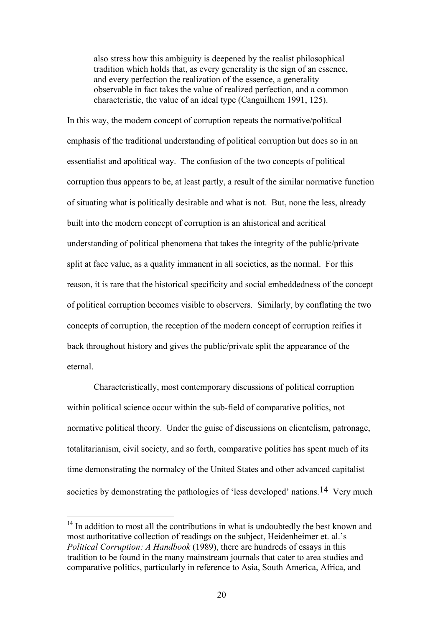<span id="page-19-0"></span>also stress how this ambiguity is deepened by the realist philosophical tradition which holds that, as every generality is the sign of an essence, and every perfection the realization of the essence, a generality observable in fact takes the value of realized perfection, and a common characteristic, the value of an ideal type (Canguilhem 1991, 125).

In this way, the modern concept of corruption repeats the normative/political emphasis of the traditional understanding of political corruption but does so in an essentialist and apolitical way. The confusion of the two concepts of political corruption thus appears to be, at least partly, a result of the similar normative function of situating what is politically desirable and what is not. But, none the less, already built into the modern concept of corruption is an ahistorical and acritical understanding of political phenomena that takes the integrity of the public/private split at face value, as a quality immanent in all societies, as the normal. For this reason, it is rare that the historical specificity and social embeddedness of the concept of political corruption becomes visible to observers. Similarly, by conflating the two concepts of corruption, the reception of the modern concept of corruption reifies it back throughout history and gives the public/private split the appearance of the eternal.

Characteristically, most contemporary discussions of political corruption within political science occur within the sub-field of comparative politics, not normative political theory. Under the guise of discussions on clientelism, patronage, totalitarianism, civil society, and so forth, comparative politics has spent much of its time demonstrating the normalcy of the United States and other advanced capitalist societies by demonstrating the pathologies of 'less developed' nations.<sup>14</sup> Very much

 $14$  In addition to most all the contributions in what is undoubtedly the best known and most authoritative collection of readings on the subject, Heidenheimer et. al.'s *Political Corruption: A Handbook* (1989), there are hundreds of essays in this tradition to be found in the many mainstream journals that cater to area studies and comparative politics, particularly in reference to Asia, South America, Africa, and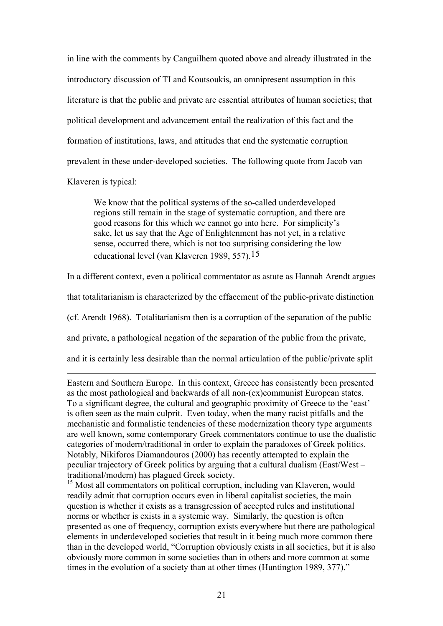in line with the comments by Canguilhem quoted above and already illustrated in the introductory discussion of TI and Koutsoukis, an omnipresent assumption in this literature is that the public and private are essential attributes of human societies; that political development and advancement entail the realization of this fact and the formation of institutions, laws, and attitudes that end the systematic corruption prevalent in these under-developed societies. The following quote from Jacob van Klaveren is typical:

We know that the political systems of the so-called underdeveloped regions still remain in the stage of systematic corruption, and there are good reasons for this which we cannot go into here. For simplicity's sake, let us say that the Age of Enlightenment has not yet, in a relative sense, occurred there, which is not too surprising considering the low educational level (van Klaveren 1989, 557).[15](#page-20-0)

In a different context, even a political commentator as astute as Hannah Arendt argues

that totalitarianism is characterized by the effacement of the public-private distinction

(cf. Arendt 1968). Totalitarianism then is a corruption of the separation of the public

and private, a pathological negation of the separation of the public from the private,

and it is certainly less desirable than the normal articulation of the public/private split

 $\overline{a}$ 

Eastern and Southern Europe. In this context, Greece has consistently been presented as the most pathological and backwards of all non-(ex)communist European states. To a significant degree, the cultural and geographic proximity of Greece to the 'east' is often seen as the main culprit. Even today, when the many racist pitfalls and the mechanistic and formalistic tendencies of these modernization theory type arguments are well known, some contemporary Greek commentators continue to use the dualistic categories of modern/traditional in order to explain the paradoxes of Greek politics. Notably, Nikiforos Diamandouros (2000) has recently attempted to explain the peculiar trajectory of Greek politics by arguing that a cultural dualism (East/West – traditional/modern) has plagued Greek society.

<span id="page-20-0"></span><sup>15</sup> Most all commentators on political corruption, including van Klaveren, would readily admit that corruption occurs even in liberal capitalist societies, the main question is whether it exists as a transgression of accepted rules and institutional norms or whether is exists in a systemic way. Similarly, the question is often presented as one of frequency, corruption exists everywhere but there are pathological elements in underdeveloped societies that result in it being much more common there than in the developed world, "Corruption obviously exists in all societies, but it is also obviously more common in some societies than in others and more common at some times in the evolution of a society than at other times (Huntington 1989, 377)."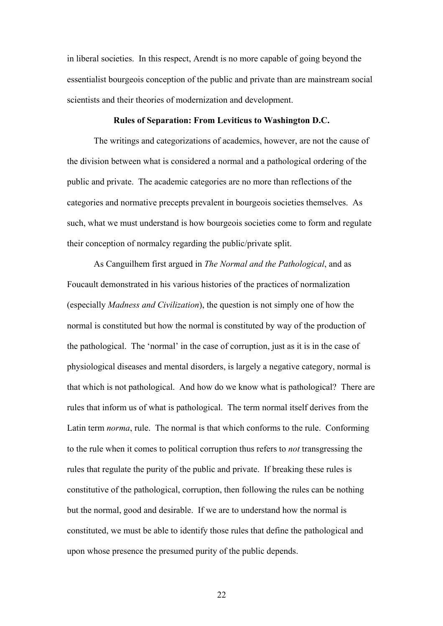in liberal societies. In this respect, Arendt is no more capable of going beyond the essentialist bourgeois conception of the public and private than are mainstream social scientists and their theories of modernization and development.

#### **Rules of Separation: From Leviticus to Washington D.C.**

The writings and categorizations of academics, however, are not the cause of the division between what is considered a normal and a pathological ordering of the public and private. The academic categories are no more than reflections of the categories and normative precepts prevalent in bourgeois societies themselves. As such, what we must understand is how bourgeois societies come to form and regulate their conception of normalcy regarding the public/private split.

As Canguilhem first argued in *The Normal and the Pathological*, and as Foucault demonstrated in his various histories of the practices of normalization (especially *Madness and Civilization*), the question is not simply one of how the normal is constituted but how the normal is constituted by way of the production of the pathological. The 'normal' in the case of corruption, just as it is in the case of physiological diseases and mental disorders, is largely a negative category, normal is that which is not pathological. And how do we know what is pathological? There are rules that inform us of what is pathological. The term normal itself derives from the Latin term *norma*, rule. The normal is that which conforms to the rule. Conforming to the rule when it comes to political corruption thus refers to *not* transgressing the rules that regulate the purity of the public and private. If breaking these rules is constitutive of the pathological, corruption, then following the rules can be nothing but the normal, good and desirable. If we are to understand how the normal is constituted, we must be able to identify those rules that define the pathological and upon whose presence the presumed purity of the public depends.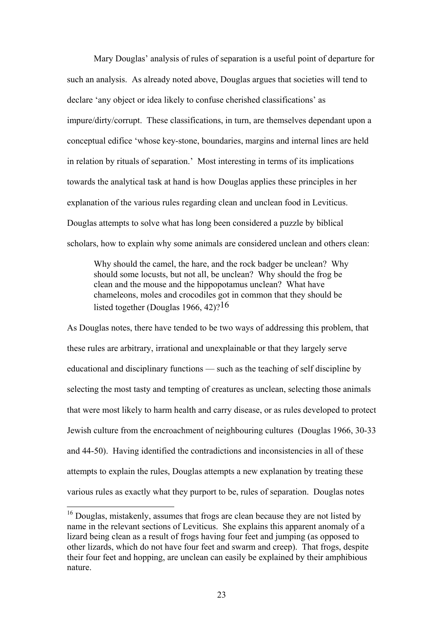Mary Douglas' analysis of rules of separation is a useful point of departure for such an analysis. As already noted above, Douglas argues that societies will tend to declare 'any object or idea likely to confuse cherished classifications' as impure/dirty/corrupt. These classifications, in turn, are themselves dependant upon a conceptual edifice 'whose key-stone, boundaries, margins and internal lines are held in relation by rituals of separation.' Most interesting in terms of its implications towards the analytical task at hand is how Douglas applies these principles in her explanation of the various rules regarding clean and unclean food in Leviticus. Douglas attempts to solve what has long been considered a puzzle by biblical scholars, how to explain why some animals are considered unclean and others clean:

Why should the camel, the hare, and the rock badger be unclean? Why should some locusts, but not all, be unclean? Why should the frog be clean and the mouse and the hippopotamus unclean? What have chameleons, moles and crocodiles got in common that they should be listed together (Douglas 1966,  $42$ )?<sup>[16](#page-22-0)</sup>

As Douglas notes, there have tended to be two ways of addressing this problem, that these rules are arbitrary, irrational and unexplainable or that they largely serve educational and disciplinary functions — such as the teaching of self discipline by selecting the most tasty and tempting of creatures as unclean, selecting those animals that were most likely to harm health and carry disease, or as rules developed to protect Jewish culture from the encroachment of neighbouring cultures (Douglas 1966, 30-33 and 44-50). Having identified the contradictions and inconsistencies in all of these attempts to explain the rules, Douglas attempts a new explanation by treating these various rules as exactly what they purport to be, rules of separation. Douglas notes

<span id="page-22-0"></span><sup>&</sup>lt;sup>16</sup> Douglas, mistakenly, assumes that frogs are clean because they are not listed by name in the relevant sections of Leviticus. She explains this apparent anomaly of a lizard being clean as a result of frogs having four feet and jumping (as opposed to other lizards, which do not have four feet and swarm and creep). That frogs, despite their four feet and hopping, are unclean can easily be explained by their amphibious nature.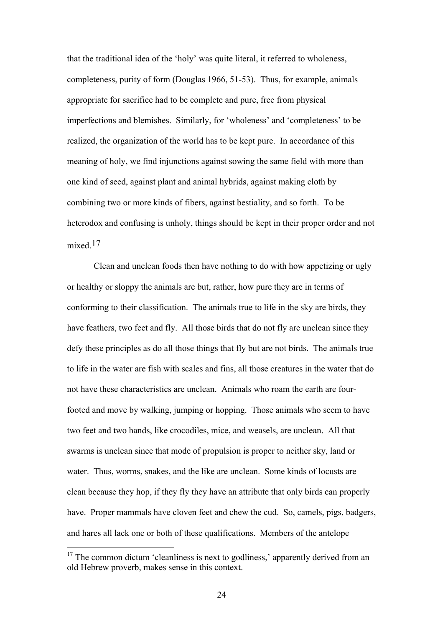that the traditional idea of the 'holy' was quite literal, it referred to wholeness, completeness, purity of form (Douglas 1966, 51-53). Thus, for example, animals appropriate for sacrifice had to be complete and pure, free from physical imperfections and blemishes. Similarly, for 'wholeness' and 'completeness' to be realized, the organization of the world has to be kept pure. In accordance of this meaning of holy, we find injunctions against sowing the same field with more than one kind of seed, against plant and animal hybrids, against making cloth by combining two or more kinds of fibers, against bestiality, and so forth. To be heterodox and confusing is unholy, things should be kept in their proper order and not mixed 17

Clean and unclean foods then have nothing to do with how appetizing or ugly or healthy or sloppy the animals are but, rather, how pure they are in terms of conforming to their classification. The animals true to life in the sky are birds, they have feathers, two feet and fly. All those birds that do not fly are unclean since they defy these principles as do all those things that fly but are not birds. The animals true to life in the water are fish with scales and fins, all those creatures in the water that do not have these characteristics are unclean. Animals who roam the earth are fourfooted and move by walking, jumping or hopping. Those animals who seem to have two feet and two hands, like crocodiles, mice, and weasels, are unclean. All that swarms is unclean since that mode of propulsion is proper to neither sky, land or water. Thus, worms, snakes, and the like are unclean. Some kinds of locusts are clean because they hop, if they fly they have an attribute that only birds can properly have. Proper mammals have cloven feet and chew the cud. So, camels, pigs, badgers, and hares all lack one or both of these qualifications. Members of the antelope

<span id="page-23-0"></span> $17$  The common dictum 'cleanliness is next to godliness,' apparently derived from an old Hebrew proverb, makes sense in this context.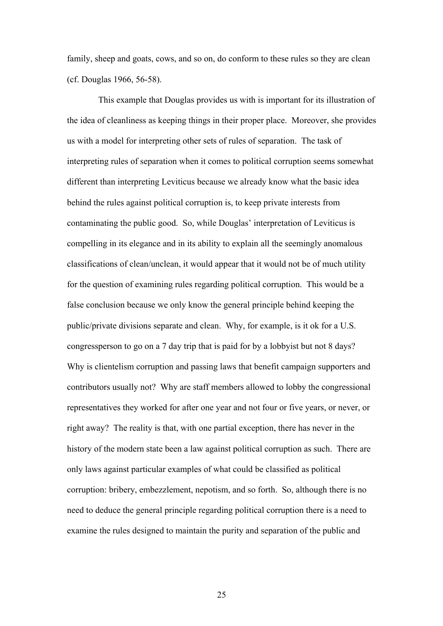family, sheep and goats, cows, and so on, do conform to these rules so they are clean (cf. Douglas 1966, 56-58).

 This example that Douglas provides us with is important for its illustration of the idea of cleanliness as keeping things in their proper place. Moreover, she provides us with a model for interpreting other sets of rules of separation. The task of interpreting rules of separation when it comes to political corruption seems somewhat different than interpreting Leviticus because we already know what the basic idea behind the rules against political corruption is, to keep private interests from contaminating the public good. So, while Douglas' interpretation of Leviticus is compelling in its elegance and in its ability to explain all the seemingly anomalous classifications of clean/unclean, it would appear that it would not be of much utility for the question of examining rules regarding political corruption. This would be a false conclusion because we only know the general principle behind keeping the public/private divisions separate and clean. Why, for example, is it ok for a U.S. congressperson to go on a 7 day trip that is paid for by a lobbyist but not 8 days? Why is clientelism corruption and passing laws that benefit campaign supporters and contributors usually not? Why are staff members allowed to lobby the congressional representatives they worked for after one year and not four or five years, or never, or right away? The reality is that, with one partial exception, there has never in the history of the modern state been a law against political corruption as such. There are only laws against particular examples of what could be classified as political corruption: bribery, embezzlement, nepotism, and so forth. So, although there is no need to deduce the general principle regarding political corruption there is a need to examine the rules designed to maintain the purity and separation of the public and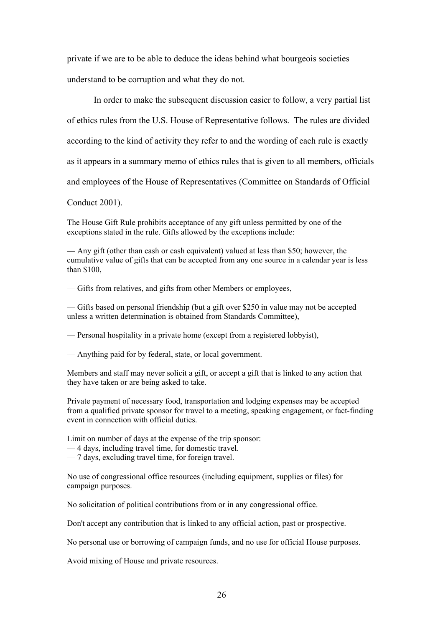private if we are to be able to deduce the ideas behind what bourgeois societies understand to be corruption and what they do not.

In order to make the subsequent discussion easier to follow, a very partial list of ethics rules from the U.S. House of Representative follows. The rules are divided according to the kind of activity they refer to and the wording of each rule is exactly as it appears in a summary memo of ethics rules that is given to all members, officials and employees of the House of Representatives (Committee on Standards of Official Conduct 2001).

The House Gift Rule prohibits acceptance of any gift unless permitted by one of the exceptions stated in the rule. Gifts allowed by the exceptions include:

— Any gift (other than cash or cash equivalent) valued at less than \$50; however, the cumulative value of gifts that can be accepted from any one source in a calendar year is less than \$100,

— Gifts from relatives, and gifts from other Members or employees,

— Gifts based on personal friendship (but a gift over \$250 in value may not be accepted unless a written determination is obtained from Standards Committee),

— Personal hospitality in a private home (except from a registered lobbyist),

— Anything paid for by federal, state, or local government.

Members and staff may never solicit a gift, or accept a gift that is linked to any action that they have taken or are being asked to take.

Private payment of necessary food, transportation and lodging expenses may be accepted from a qualified private sponsor for travel to a meeting, speaking engagement, or fact-finding event in connection with official duties.

Limit on number of days at the expense of the trip sponsor:

- 4 days, including travel time, for domestic travel.
- 7 days, excluding travel time, for foreign travel.

No use of congressional office resources (including equipment, supplies or files) for campaign purposes.

No solicitation of political contributions from or in any congressional office.

Don't accept any contribution that is linked to any official action, past or prospective.

No personal use or borrowing of campaign funds, and no use for official House purposes.

Avoid mixing of House and private resources.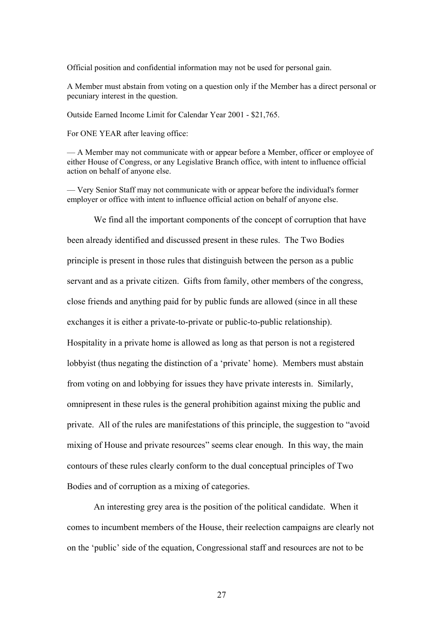Official position and confidential information may not be used for personal gain.

A Member must abstain from voting on a question only if the Member has a direct personal or pecuniary interest in the question.

Outside Earned Income Limit for Calendar Year 2001 - \$21,765.

For ONE YEAR after leaving office:

— A Member may not communicate with or appear before a Member, officer or employee of either House of Congress, or any Legislative Branch office, with intent to influence official action on behalf of anyone else.

— Very Senior Staff may not communicate with or appear before the individual's former employer or office with intent to influence official action on behalf of anyone else.

We find all the important components of the concept of corruption that have been already identified and discussed present in these rules. The Two Bodies principle is present in those rules that distinguish between the person as a public servant and as a private citizen. Gifts from family, other members of the congress, close friends and anything paid for by public funds are allowed (since in all these exchanges it is either a private-to-private or public-to-public relationship). Hospitality in a private home is allowed as long as that person is not a registered lobbyist (thus negating the distinction of a 'private' home). Members must abstain from voting on and lobbying for issues they have private interests in. Similarly, omnipresent in these rules is the general prohibition against mixing the public and private. All of the rules are manifestations of this principle, the suggestion to "avoid mixing of House and private resources" seems clear enough. In this way, the main contours of these rules clearly conform to the dual conceptual principles of Two Bodies and of corruption as a mixing of categories.

An interesting grey area is the position of the political candidate. When it comes to incumbent members of the House, their reelection campaigns are clearly not on the 'public' side of the equation, Congressional staff and resources are not to be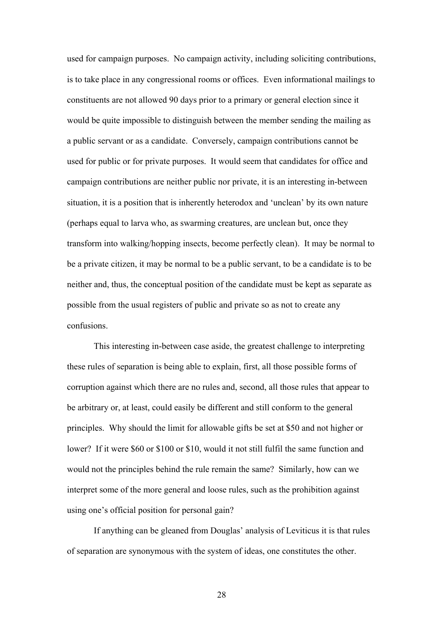used for campaign purposes. No campaign activity, including soliciting contributions, is to take place in any congressional rooms or offices. Even informational mailings to constituents are not allowed 90 days prior to a primary or general election since it would be quite impossible to distinguish between the member sending the mailing as a public servant or as a candidate. Conversely, campaign contributions cannot be used for public or for private purposes. It would seem that candidates for office and campaign contributions are neither public nor private, it is an interesting in-between situation, it is a position that is inherently heterodox and 'unclean' by its own nature (perhaps equal to larva who, as swarming creatures, are unclean but, once they transform into walking/hopping insects, become perfectly clean). It may be normal to be a private citizen, it may be normal to be a public servant, to be a candidate is to be neither and, thus, the conceptual position of the candidate must be kept as separate as possible from the usual registers of public and private so as not to create any confusions.

This interesting in-between case aside, the greatest challenge to interpreting these rules of separation is being able to explain, first, all those possible forms of corruption against which there are no rules and, second, all those rules that appear to be arbitrary or, at least, could easily be different and still conform to the general principles. Why should the limit for allowable gifts be set at \$50 and not higher or lower? If it were \$60 or \$100 or \$10, would it not still fulfil the same function and would not the principles behind the rule remain the same? Similarly, how can we interpret some of the more general and loose rules, such as the prohibition against using one's official position for personal gain?

If anything can be gleaned from Douglas' analysis of Leviticus it is that rules of separation are synonymous with the system of ideas, one constitutes the other.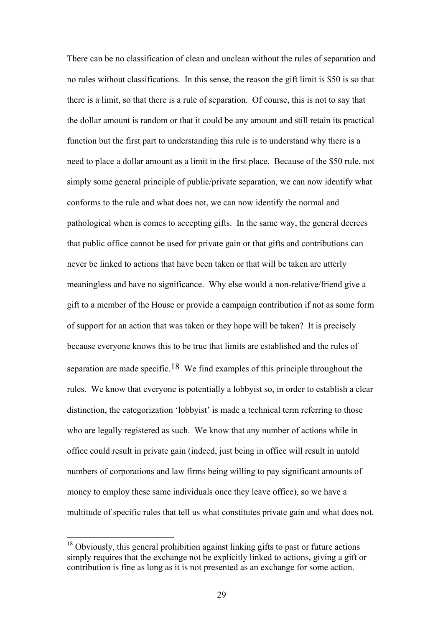There can be no classification of clean and unclean without the rules of separation and no rules without classifications. In this sense, the reason the gift limit is \$50 is so that there is a limit, so that there is a rule of separation. Of course, this is not to say that the dollar amount is random or that it could be any amount and still retain its practical function but the first part to understanding this rule is to understand why there is a need to place a dollar amount as a limit in the first place. Because of the \$50 rule, not simply some general principle of public/private separation, we can now identify what conforms to the rule and what does not, we can now identify the normal and pathological when is comes to accepting gifts. In the same way, the general decrees that public office cannot be used for private gain or that gifts and contributions can never be linked to actions that have been taken or that will be taken are utterly meaningless and have no significance. Why else would a non-relative/friend give a gift to a member of the House or provide a campaign contribution if not as some form of support for an action that was taken or they hope will be taken? It is precisely because everyone knows this to be true that limits are established and the rules of separation are made specific.<sup>18</sup> We find examples of this principle throughout the rules. We know that everyone is potentially a lobbyist so, in order to establish a clear distinction, the categorization 'lobbyist' is made a technical term referring to those who are legally registered as such. We know that any number of actions while in office could result in private gain (indeed, just being in office will result in untold numbers of corporations and law firms being willing to pay significant amounts of money to employ these same individuals once they leave office), so we have a multitude of specific rules that tell us what constitutes private gain and what does not.

<span id="page-28-0"></span> $18$  Obviously, this general prohibition against linking gifts to past or future actions simply requires that the exchange not be explicitly linked to actions, giving a gift or contribution is fine as long as it is not presented as an exchange for some action.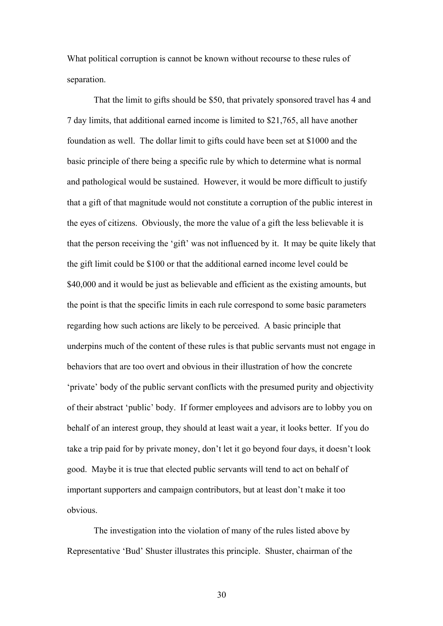What political corruption is cannot be known without recourse to these rules of separation.

That the limit to gifts should be \$50, that privately sponsored travel has 4 and 7 day limits, that additional earned income is limited to \$21,765, all have another foundation as well. The dollar limit to gifts could have been set at \$1000 and the basic principle of there being a specific rule by which to determine what is normal and pathological would be sustained. However, it would be more difficult to justify that a gift of that magnitude would not constitute a corruption of the public interest in the eyes of citizens. Obviously, the more the value of a gift the less believable it is that the person receiving the 'gift' was not influenced by it. It may be quite likely that the gift limit could be \$100 or that the additional earned income level could be \$40,000 and it would be just as believable and efficient as the existing amounts, but the point is that the specific limits in each rule correspond to some basic parameters regarding how such actions are likely to be perceived. A basic principle that underpins much of the content of these rules is that public servants must not engage in behaviors that are too overt and obvious in their illustration of how the concrete 'private' body of the public servant conflicts with the presumed purity and objectivity of their abstract 'public' body. If former employees and advisors are to lobby you on behalf of an interest group, they should at least wait a year, it looks better. If you do take a trip paid for by private money, don't let it go beyond four days, it doesn't look good. Maybe it is true that elected public servants will tend to act on behalf of important supporters and campaign contributors, but at least don't make it too obvious.

 The investigation into the violation of many of the rules listed above by Representative 'Bud' Shuster illustrates this principle. Shuster, chairman of the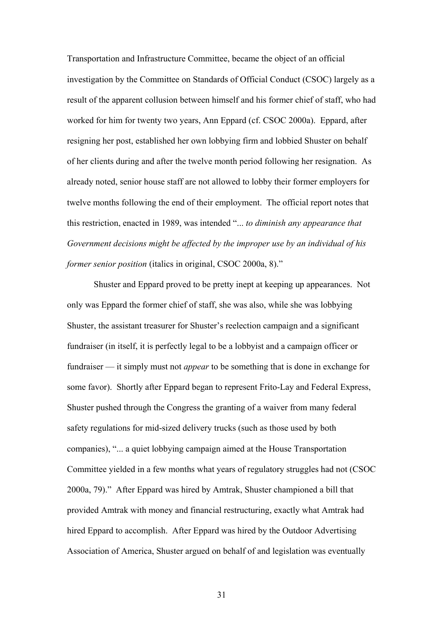Transportation and Infrastructure Committee, became the object of an official investigation by the Committee on Standards of Official Conduct (CSOC) largely as a result of the apparent collusion between himself and his former chief of staff, who had worked for him for twenty two years, Ann Eppard (cf. CSOC 2000a). Eppard, after resigning her post, established her own lobbying firm and lobbied Shuster on behalf of her clients during and after the twelve month period following her resignation. As already noted, senior house staff are not allowed to lobby their former employers for twelve months following the end of their employment. The official report notes that this restriction, enacted in 1989, was intended "... *to diminish any appearance that Government decisions might be affected by the improper use by an individual of his former senior position* (italics in original, CSOC 2000a, 8)."

Shuster and Eppard proved to be pretty inept at keeping up appearances. Not only was Eppard the former chief of staff, she was also, while she was lobbying Shuster, the assistant treasurer for Shuster's reelection campaign and a significant fundraiser (in itself, it is perfectly legal to be a lobbyist and a campaign officer or fundraiser — it simply must not *appear* to be something that is done in exchange for some favor). Shortly after Eppard began to represent Frito-Lay and Federal Express, Shuster pushed through the Congress the granting of a waiver from many federal safety regulations for mid-sized delivery trucks (such as those used by both companies), "... a quiet lobbying campaign aimed at the House Transportation Committee yielded in a few months what years of regulatory struggles had not (CSOC 2000a, 79)." After Eppard was hired by Amtrak, Shuster championed a bill that provided Amtrak with money and financial restructuring, exactly what Amtrak had hired Eppard to accomplish. After Eppard was hired by the Outdoor Advertising Association of America, Shuster argued on behalf of and legislation was eventually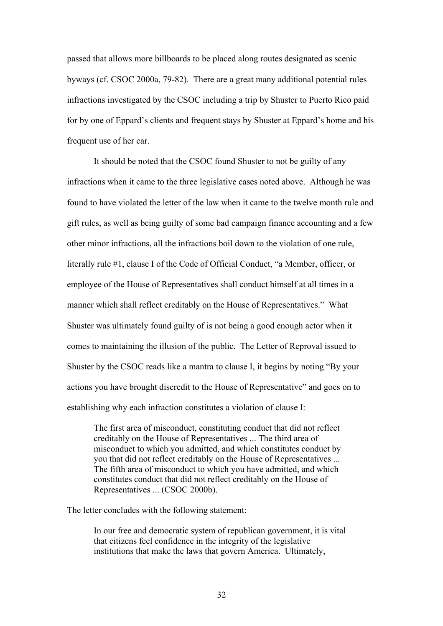passed that allows more billboards to be placed along routes designated as scenic byways (cf. CSOC 2000a, 79-82). There are a great many additional potential rules infractions investigated by the CSOC including a trip by Shuster to Puerto Rico paid for by one of Eppard's clients and frequent stays by Shuster at Eppard's home and his frequent use of her car.

It should be noted that the CSOC found Shuster to not be guilty of any infractions when it came to the three legislative cases noted above. Although he was found to have violated the letter of the law when it came to the twelve month rule and gift rules, as well as being guilty of some bad campaign finance accounting and a few other minor infractions, all the infractions boil down to the violation of one rule, literally rule #1, clause I of the Code of Official Conduct, "a Member, officer, or employee of the House of Representatives shall conduct himself at all times in a manner which shall reflect creditably on the House of Representatives." What Shuster was ultimately found guilty of is not being a good enough actor when it comes to maintaining the illusion of the public. The Letter of Reproval issued to Shuster by the CSOC reads like a mantra to clause I, it begins by noting "By your actions you have brought discredit to the House of Representative" and goes on to establishing why each infraction constitutes a violation of clause I:

The first area of misconduct, constituting conduct that did not reflect creditably on the House of Representatives ... The third area of misconduct to which you admitted, and which constitutes conduct by you that did not reflect creditably on the House of Representatives ... The fifth area of misconduct to which you have admitted, and which constitutes conduct that did not reflect creditably on the House of Representatives ... (CSOC 2000b).

The letter concludes with the following statement:

In our free and democratic system of republican government, it is vital that citizens feel confidence in the integrity of the legislative institutions that make the laws that govern America. Ultimately,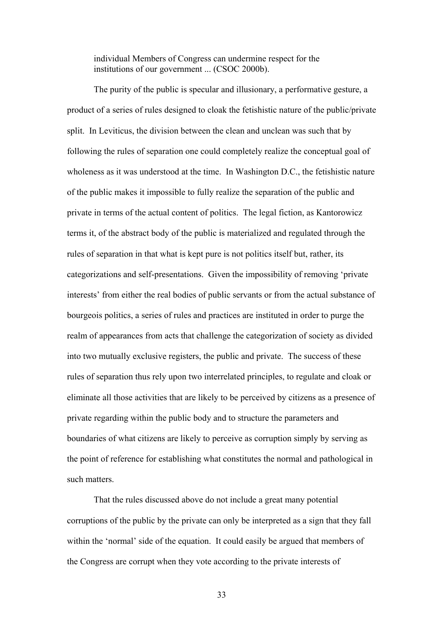individual Members of Congress can undermine respect for the institutions of our government ... (CSOC 2000b).

The purity of the public is specular and illusionary, a performative gesture, a product of a series of rules designed to cloak the fetishistic nature of the public/private split. In Leviticus, the division between the clean and unclean was such that by following the rules of separation one could completely realize the conceptual goal of wholeness as it was understood at the time. In Washington D.C., the fetishistic nature of the public makes it impossible to fully realize the separation of the public and private in terms of the actual content of politics. The legal fiction, as Kantorowicz terms it, of the abstract body of the public is materialized and regulated through the rules of separation in that what is kept pure is not politics itself but, rather, its categorizations and self-presentations. Given the impossibility of removing 'private interests' from either the real bodies of public servants or from the actual substance of bourgeois politics, a series of rules and practices are instituted in order to purge the realm of appearances from acts that challenge the categorization of society as divided into two mutually exclusive registers, the public and private. The success of these rules of separation thus rely upon two interrelated principles, to regulate and cloak or eliminate all those activities that are likely to be perceived by citizens as a presence of private regarding within the public body and to structure the parameters and boundaries of what citizens are likely to perceive as corruption simply by serving as the point of reference for establishing what constitutes the normal and pathological in such matters.

That the rules discussed above do not include a great many potential corruptions of the public by the private can only be interpreted as a sign that they fall within the 'normal' side of the equation. It could easily be argued that members of the Congress are corrupt when they vote according to the private interests of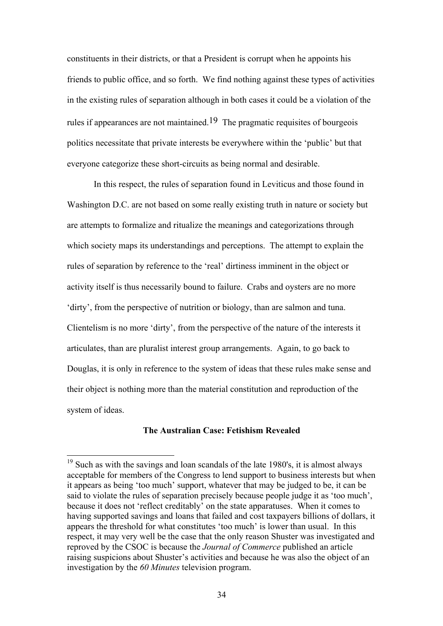constituents in their districts, or that a President is corrupt when he appoints his friends to public office, and so forth. We find nothing against these types of activities in the existing rules of separation although in both cases it could be a violation of the rules if appearances are not maintained.[19](#page-33-0) The pragmatic requisites of bourgeois politics necessitate that private interests be everywhere within the 'public' but that everyone categorize these short-circuits as being normal and desirable.

In this respect, the rules of separation found in Leviticus and those found in Washington D.C. are not based on some really existing truth in nature or society but are attempts to formalize and ritualize the meanings and categorizations through which society maps its understandings and perceptions. The attempt to explain the rules of separation by reference to the 'real' dirtiness imminent in the object or activity itself is thus necessarily bound to failure. Crabs and oysters are no more 'dirty', from the perspective of nutrition or biology, than are salmon and tuna. Clientelism is no more 'dirty', from the perspective of the nature of the interests it articulates, than are pluralist interest group arrangements. Again, to go back to Douglas, it is only in reference to the system of ideas that these rules make sense and their object is nothing more than the material constitution and reproduction of the system of ideas.

#### **The Australian Case: Fetishism Revealed**

<span id="page-33-0"></span><sup>&</sup>lt;sup>19</sup> Such as with the savings and loan scandals of the late 1980's, it is almost always acceptable for members of the Congress to lend support to business interests but when it appears as being 'too much' support, whatever that may be judged to be, it can be said to violate the rules of separation precisely because people judge it as 'too much', because it does not 'reflect creditably' on the state apparatuses. When it comes to having supported savings and loans that failed and cost taxpayers billions of dollars, it appears the threshold for what constitutes 'too much' is lower than usual. In this respect, it may very well be the case that the only reason Shuster was investigated and reproved by the CSOC is because the *Journal of Commerce* published an article raising suspicions about Shuster's activities and because he was also the object of an investigation by the *60 Minutes* television program.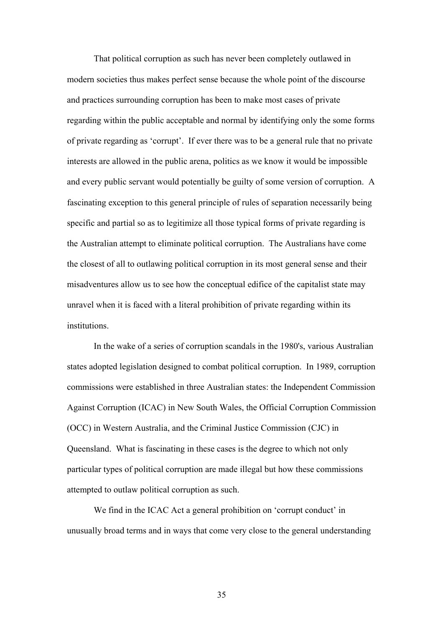That political corruption as such has never been completely outlawed in modern societies thus makes perfect sense because the whole point of the discourse and practices surrounding corruption has been to make most cases of private regarding within the public acceptable and normal by identifying only the some forms of private regarding as 'corrupt'. If ever there was to be a general rule that no private interests are allowed in the public arena, politics as we know it would be impossible and every public servant would potentially be guilty of some version of corruption. A fascinating exception to this general principle of rules of separation necessarily being specific and partial so as to legitimize all those typical forms of private regarding is the Australian attempt to eliminate political corruption. The Australians have come the closest of all to outlawing political corruption in its most general sense and their misadventures allow us to see how the conceptual edifice of the capitalist state may unravel when it is faced with a literal prohibition of private regarding within its institutions.

In the wake of a series of corruption scandals in the 1980's, various Australian states adopted legislation designed to combat political corruption. In 1989, corruption commissions were established in three Australian states: the Independent Commission Against Corruption (ICAC) in New South Wales, the Official Corruption Commission (OCC) in Western Australia, and the Criminal Justice Commission (CJC) in Queensland. What is fascinating in these cases is the degree to which not only particular types of political corruption are made illegal but how these commissions attempted to outlaw political corruption as such.

We find in the ICAC Act a general prohibition on 'corrupt conduct' in unusually broad terms and in ways that come very close to the general understanding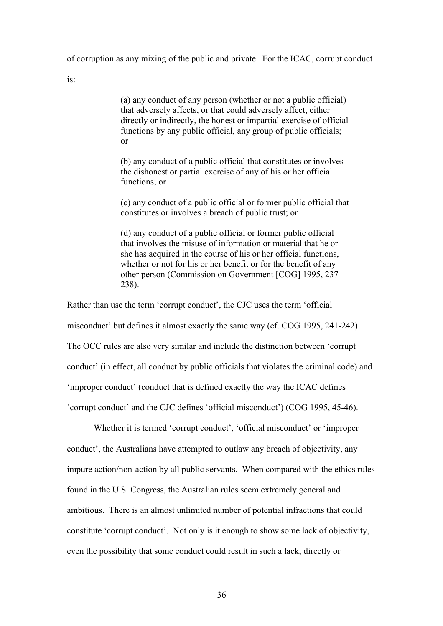of corruption as any mixing of the public and private. For the ICAC, corrupt conduct

is:

(a) any conduct of any person (whether or not a public official) that adversely affects, or that could adversely affect, either directly or indirectly, the honest or impartial exercise of official functions by any public official, any group of public officials; or

(b) any conduct of a public official that constitutes or involves the dishonest or partial exercise of any of his or her official functions; or

(c) any conduct of a public official or former public official that constitutes or involves a breach of public trust; or

(d) any conduct of a public official or former public official that involves the misuse of information or material that he or she has acquired in the course of his or her official functions, whether or not for his or her benefit or for the benefit of any other person (Commission on Government [COG] 1995, 237- 238).

Rather than use the term 'corrupt conduct', the CJC uses the term 'official misconduct' but defines it almost exactly the same way (cf. COG 1995, 241-242). The OCC rules are also very similar and include the distinction between 'corrupt conduct' (in effect, all conduct by public officials that violates the criminal code) and 'improper conduct' (conduct that is defined exactly the way the ICAC defines 'corrupt conduct' and the CJC defines 'official misconduct') (COG 1995, 45-46).

Whether it is termed 'corrupt conduct', 'official misconduct' or 'improper conduct', the Australians have attempted to outlaw any breach of objectivity, any impure action/non-action by all public servants. When compared with the ethics rules found in the U.S. Congress, the Australian rules seem extremely general and ambitious. There is an almost unlimited number of potential infractions that could constitute 'corrupt conduct'. Not only is it enough to show some lack of objectivity, even the possibility that some conduct could result in such a lack, directly or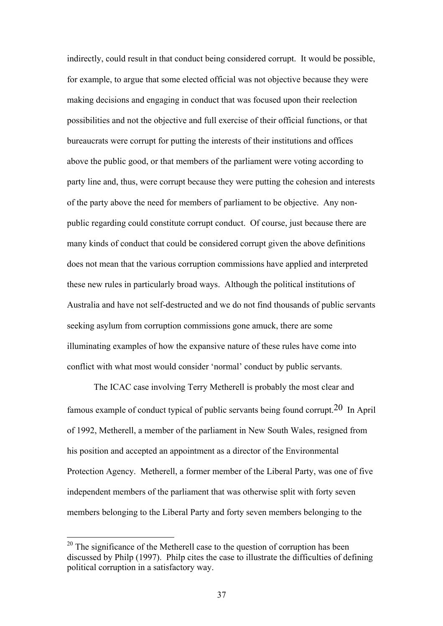indirectly, could result in that conduct being considered corrupt. It would be possible, for example, to argue that some elected official was not objective because they were making decisions and engaging in conduct that was focused upon their reelection possibilities and not the objective and full exercise of their official functions, or that bureaucrats were corrupt for putting the interests of their institutions and offices above the public good, or that members of the parliament were voting according to party line and, thus, were corrupt because they were putting the cohesion and interests of the party above the need for members of parliament to be objective. Any nonpublic regarding could constitute corrupt conduct. Of course, just because there are many kinds of conduct that could be considered corrupt given the above definitions does not mean that the various corruption commissions have applied and interpreted these new rules in particularly broad ways. Although the political institutions of Australia and have not self-destructed and we do not find thousands of public servants seeking asylum from corruption commissions gone amuck, there are some illuminating examples of how the expansive nature of these rules have come into conflict with what most would consider 'normal' conduct by public servants.

The ICAC case involving Terry Metherell is probably the most clear and famous example of conduct typical of public servants being found corrupt[.20](#page-36-0) In April of 1992, Metherell, a member of the parliament in New South Wales, resigned from his position and accepted an appointment as a director of the Environmental Protection Agency. Metherell, a former member of the Liberal Party, was one of five independent members of the parliament that was otherwise split with forty seven members belonging to the Liberal Party and forty seven members belonging to the

<span id="page-36-0"></span> $20$  The significance of the Metherell case to the question of corruption has been discussed by Philp (1997). Philp cites the case to illustrate the difficulties of defining political corruption in a satisfactory way.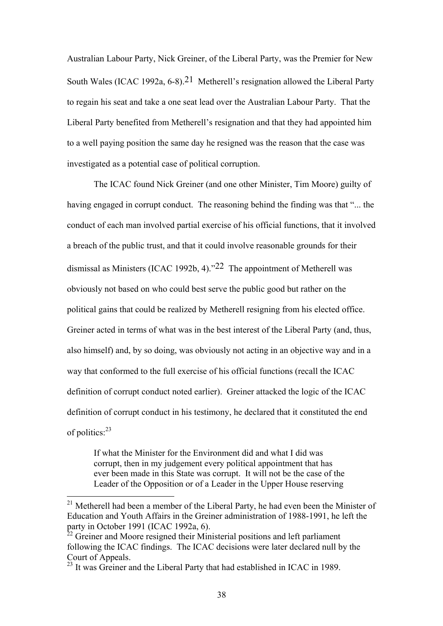Australian Labour Party, Nick Greiner, of the Liberal Party, was the Premier for New South Wales (ICAC 1992a, 6-8).<sup>21</sup> Metherell's resignation allowed the Liberal Party to regain his seat and take a one seat lead over the Australian Labour Party. That the Liberal Party benefited from Metherell's resignation and that they had appointed him to a well paying position the same day he resigned was the reason that the case was investigated as a potential case of political corruption.

The ICAC found Nick Greiner (and one other Minister, Tim Moore) guilty of having engaged in corrupt conduct. The reasoning behind the finding was that "... the conduct of each man involved partial exercise of his official functions, that it involved a breach of the public trust, and that it could involve reasonable grounds for their dismissal as Ministers (ICAC 1992b, 4)."[22](#page-37-1) The appointment of Metherell was obviously not based on who could best serve the public good but rather on the political gains that could be realized by Metherell resigning from his elected office. Greiner acted in terms of what was in the best interest of the Liberal Party (and, thus, also himself) and, by so doing, was obviously not acting in an objective way and in a way that conformed to the full exercise of his official functions (recall the ICAC definition of corrupt conduct noted earlier). Greiner attacked the logic of the ICAC definition of corrupt conduct in his testimony, he declared that it constituted the end of politics $^{23}$  $^{23}$  $^{23}$ 

If what the Minister for the Environment did and what I did was corrupt, then in my judgement every political appointment that has ever been made in this State was corrupt. It will not be the case of the Leader of the Opposition or of a Leader in the Upper House reserving

<span id="page-37-0"></span><sup>&</sup>lt;sup>21</sup> Metherell had been a member of the Liberal Party, he had even been the Minister of Education and Youth Affairs in the Greiner administration of 1988-1991, he left the party in October 1991 (ICAC 1992a, 6).

<span id="page-37-1"></span> $\frac{22}{2}$  Greiner and Moore resigned their Ministerial positions and left parliament following the ICAC findings. The ICAC decisions were later declared null by the Court of Appeals.

<span id="page-37-2"></span> $23$  It was Greiner and the Liberal Party that had established in ICAC in 1989.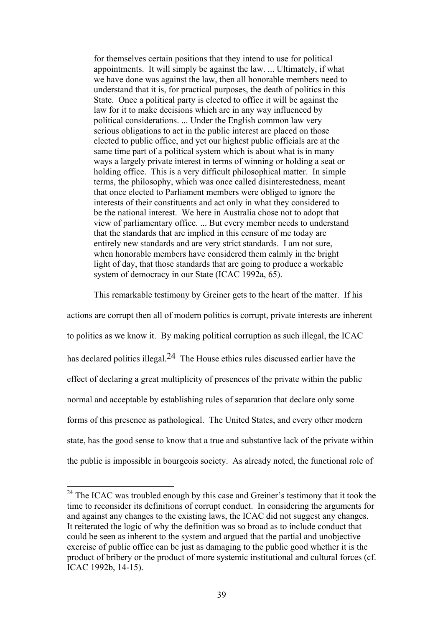for themselves certain positions that they intend to use for political appointments. It will simply be against the law. ... Ultimately, if what we have done was against the law, then all honorable members need to understand that it is, for practical purposes, the death of politics in this State. Once a political party is elected to office it will be against the law for it to make decisions which are in any way influenced by political considerations. ... Under the English common law very serious obligations to act in the public interest are placed on those elected to public office, and yet our highest public officials are at the same time part of a political system which is about what is in many ways a largely private interest in terms of winning or holding a seat or holding office. This is a very difficult philosophical matter. In simple terms, the philosophy, which was once called disinterestedness, meant that once elected to Parliament members were obliged to ignore the interests of their constituents and act only in what they considered to be the national interest. We here in Australia chose not to adopt that view of parliamentary office. ... But every member needs to understand that the standards that are implied in this censure of me today are entirely new standards and are very strict standards. I am not sure, when honorable members have considered them calmly in the bright light of day, that those standards that are going to produce a workable system of democracy in our State (ICAC 1992a, 65).

This remarkable testimony by Greiner gets to the heart of the matter. If his actions are corrupt then all of modern politics is corrupt, private interests are inherent to politics as we know it. By making political corruption as such illegal, the ICAC has declared politics illegal[.24](#page-38-0) The House ethics rules discussed earlier have the effect of declaring a great multiplicity of presences of the private within the public normal and acceptable by establishing rules of separation that declare only some forms of this presence as pathological. The United States, and every other modern state, has the good sense to know that a true and substantive lack of the private within the public is impossible in bourgeois society. As already noted, the functional role of

<span id="page-38-0"></span> $24$  The ICAC was troubled enough by this case and Greiner's testimony that it took the time to reconsider its definitions of corrupt conduct. In considering the arguments for and against any changes to the existing laws, the ICAC did not suggest any changes. It reiterated the logic of why the definition was so broad as to include conduct that could be seen as inherent to the system and argued that the partial and unobjective exercise of public office can be just as damaging to the public good whether it is the product of bribery or the product of more systemic institutional and cultural forces (cf. ICAC 1992b, 14-15).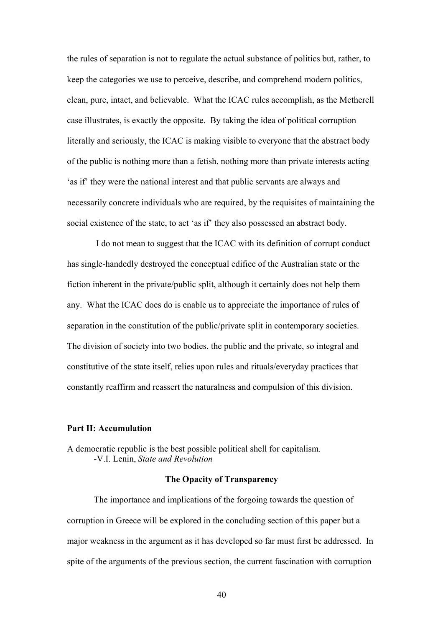the rules of separation is not to regulate the actual substance of politics but, rather, to keep the categories we use to perceive, describe, and comprehend modern politics, clean, pure, intact, and believable. What the ICAC rules accomplish, as the Metherell case illustrates, is exactly the opposite. By taking the idea of political corruption literally and seriously, the ICAC is making visible to everyone that the abstract body of the public is nothing more than a fetish, nothing more than private interests acting 'as if' they were the national interest and that public servants are always and necessarily concrete individuals who are required, by the requisites of maintaining the social existence of the state, to act 'as if' they also possessed an abstract body.

 I do not mean to suggest that the ICAC with its definition of corrupt conduct has single-handedly destroyed the conceptual edifice of the Australian state or the fiction inherent in the private/public split, although it certainly does not help them any. What the ICAC does do is enable us to appreciate the importance of rules of separation in the constitution of the public/private split in contemporary societies. The division of society into two bodies, the public and the private, so integral and constitutive of the state itself, relies upon rules and rituals/everyday practices that constantly reaffirm and reassert the naturalness and compulsion of this division.

#### **Part II: Accumulation**

A democratic republic is the best possible political shell for capitalism. -V.I. Lenin, *State and Revolution* 

# **The Opacity of Transparency**

The importance and implications of the forgoing towards the question of corruption in Greece will be explored in the concluding section of this paper but a major weakness in the argument as it has developed so far must first be addressed. In spite of the arguments of the previous section, the current fascination with corruption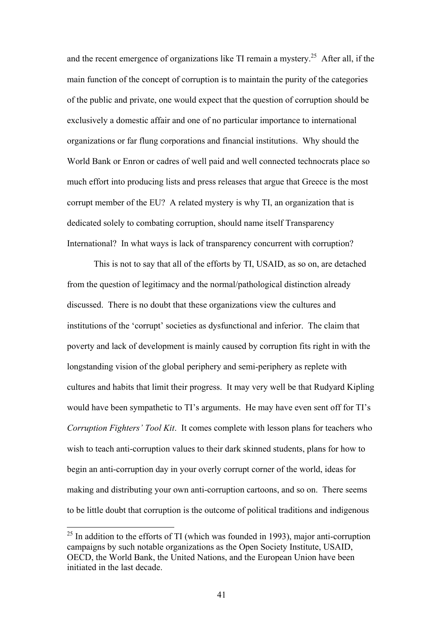and the recent emergence of organizations like TI remain a mystery.<sup>25</sup> After all, if the main function of the concept of corruption is to maintain the purity of the categories of the public and private, one would expect that the question of corruption should be exclusively a domestic affair and one of no particular importance to international organizations or far flung corporations and financial institutions. Why should the World Bank or Enron or cadres of well paid and well connected technocrats place so much effort into producing lists and press releases that argue that Greece is the most corrupt member of the EU? A related mystery is why TI, an organization that is dedicated solely to combating corruption, should name itself Transparency International? In what ways is lack of transparency concurrent with corruption?

This is not to say that all of the efforts by TI, USAID, as so on, are detached from the question of legitimacy and the normal/pathological distinction already discussed. There is no doubt that these organizations view the cultures and institutions of the 'corrupt' societies as dysfunctional and inferior. The claim that poverty and lack of development is mainly caused by corruption fits right in with the longstanding vision of the global periphery and semi-periphery as replete with cultures and habits that limit their progress. It may very well be that Rudyard Kipling would have been sympathetic to TI's arguments. He may have even sent off for TI's *Corruption Fighters' Tool Kit*. It comes complete with lesson plans for teachers who wish to teach anti-corruption values to their dark skinned students, plans for how to begin an anti-corruption day in your overly corrupt corner of the world, ideas for making and distributing your own anti-corruption cartoons, and so on. There seems to be little doubt that corruption is the outcome of political traditions and indigenous

<span id="page-40-0"></span> $^{25}$  In addition to the efforts of TI (which was founded in 1993), major anti-corruption campaigns by such notable organizations as the Open Society Institute, USAID, OECD, the World Bank, the United Nations, and the European Union have been initiated in the last decade.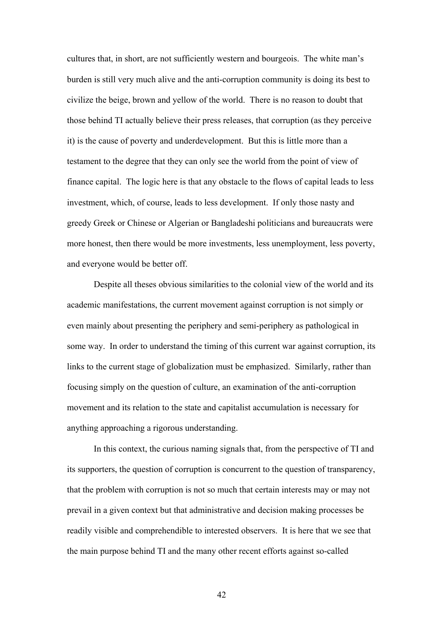cultures that, in short, are not sufficiently western and bourgeois. The white man's burden is still very much alive and the anti-corruption community is doing its best to civilize the beige, brown and yellow of the world. There is no reason to doubt that those behind TI actually believe their press releases, that corruption (as they perceive it) is the cause of poverty and underdevelopment. But this is little more than a testament to the degree that they can only see the world from the point of view of finance capital. The logic here is that any obstacle to the flows of capital leads to less investment, which, of course, leads to less development. If only those nasty and greedy Greek or Chinese or Algerian or Bangladeshi politicians and bureaucrats were more honest, then there would be more investments, less unemployment, less poverty, and everyone would be better off.

Despite all theses obvious similarities to the colonial view of the world and its academic manifestations, the current movement against corruption is not simply or even mainly about presenting the periphery and semi-periphery as pathological in some way. In order to understand the timing of this current war against corruption, its links to the current stage of globalization must be emphasized. Similarly, rather than focusing simply on the question of culture, an examination of the anti-corruption movement and its relation to the state and capitalist accumulation is necessary for anything approaching a rigorous understanding.

In this context, the curious naming signals that, from the perspective of TI and its supporters, the question of corruption is concurrent to the question of transparency, that the problem with corruption is not so much that certain interests may or may not prevail in a given context but that administrative and decision making processes be readily visible and comprehendible to interested observers. It is here that we see that the main purpose behind TI and the many other recent efforts against so-called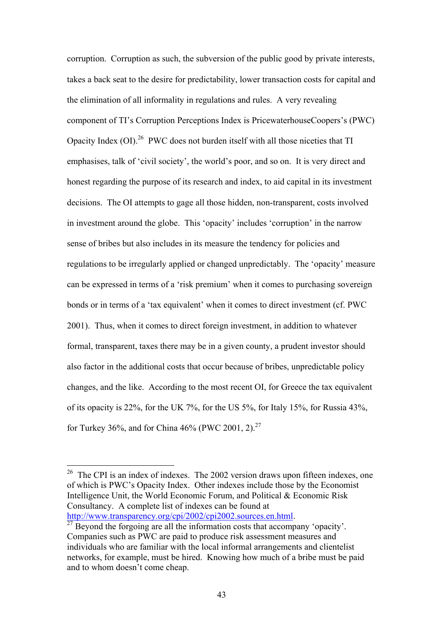corruption. Corruption as such, the subversion of the public good by private interests, takes a back seat to the desire for predictability, lower transaction costs for capital and the elimination of all informality in regulations and rules. A very revealing component of TI's Corruption Perceptions Index is PricewaterhouseCoopers's (PWC) Opacity Index  $(OI)$ <sup>26</sup> PWC does not burden itself with all those niceties that TI emphasises, talk of 'civil society', the world's poor, and so on. It is very direct and honest regarding the purpose of its research and index, to aid capital in its investment decisions. The OI attempts to gage all those hidden, non-transparent, costs involved in investment around the globe. This 'opacity' includes 'corruption' in the narrow sense of bribes but also includes in its measure the tendency for policies and regulations to be irregularly applied or changed unpredictably. The 'opacity' measure can be expressed in terms of a 'risk premium' when it comes to purchasing sovereign bonds or in terms of a 'tax equivalent' when it comes to direct investment (cf. PWC 2001). Thus, when it comes to direct foreign investment, in addition to whatever formal, transparent, taxes there may be in a given county, a prudent investor should also factor in the additional costs that occur because of bribes, unpredictable policy changes, and the like. According to the most recent OI, for Greece the tax equivalent of its opacity is 22%, for the UK 7%, for the US 5%, for Italy 15%, for Russia 43%, for Turkey 36%, and for China 46% (PWC 2001, 2).<sup>27</sup>

<span id="page-42-0"></span> $26$  The CPI is an index of indexes. The 2002 version draws upon fifteen indexes, one of which is PWC's Opacity Index. Other indexes include those by the Economist Intelligence Unit, the World Economic Forum, and Political & Economic Risk Consultancy. A complete list of indexes can be found at

<span id="page-42-1"></span>[http://www.transparency.org/cpi/2002/cpi2002.sources.en.html.](http://www.transparency.org/cpi/2002/cpi2002.sources.en.html)<br><sup>[27](http://www.transparency.org/cpi/2002/cpi2002.sources.en.html)</sup> Beyond the forgoing are all the information costs that accompany 'opacity'. Companies such as PWC are paid to produce risk assessment measures and individuals who are familiar with the local informal arrangements and clientelist networks, for example, must be hired. Knowing how much of a bribe must be paid and to whom doesn't come cheap.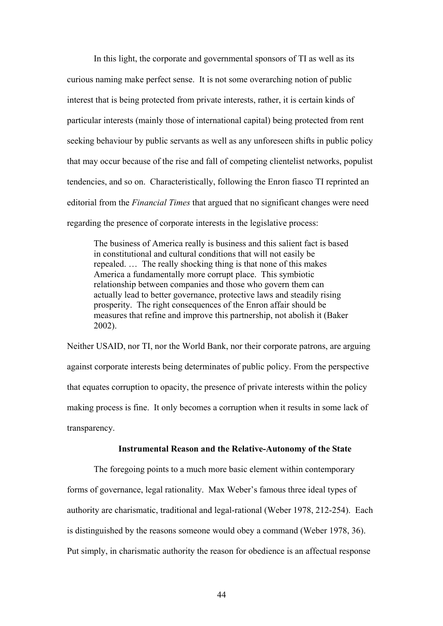In this light, the corporate and governmental sponsors of TI as well as its curious naming make perfect sense. It is not some overarching notion of public interest that is being protected from private interests, rather, it is certain kinds of particular interests (mainly those of international capital) being protected from rent seeking behaviour by public servants as well as any unforeseen shifts in public policy that may occur because of the rise and fall of competing clientelist networks, populist tendencies, and so on. Characteristically, following the Enron fiasco TI reprinted an editorial from the *Financial Times* that argued that no significant changes were need regarding the presence of corporate interests in the legislative process:

The business of America really is business and this salient fact is based in constitutional and cultural conditions that will not easily be repealed. … The really shocking thing is that none of this makes America a fundamentally more corrupt place. This symbiotic relationship between companies and those who govern them can actually lead to better governance, protective laws and steadily rising prosperity. The right consequences of the Enron affair should be measures that refine and improve this partnership, not abolish it (Baker 2002).

Neither USAID, nor TI, nor the World Bank, nor their corporate patrons, are arguing against corporate interests being determinates of public policy. From the perspective that equates corruption to opacity, the presence of private interests within the policy making process is fine. It only becomes a corruption when it results in some lack of transparency.

# **Instrumental Reason and the Relative-Autonomy of the State**

 The foregoing points to a much more basic element within contemporary forms of governance, legal rationality. Max Weber's famous three ideal types of authority are charismatic, traditional and legal-rational (Weber 1978, 212-254). Each is distinguished by the reasons someone would obey a command (Weber 1978, 36). Put simply, in charismatic authority the reason for obedience is an affectual response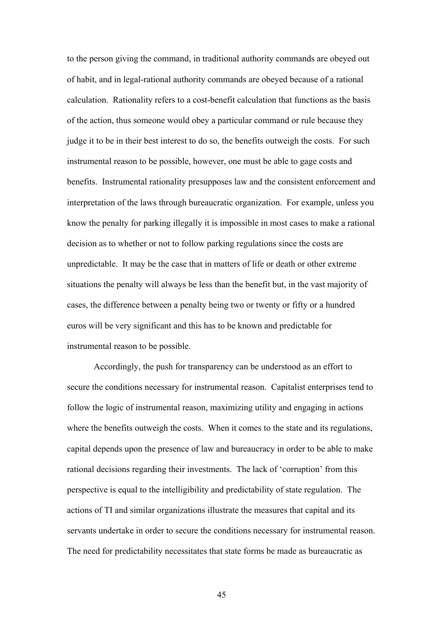to the person giving the command, in traditional authority commands are obeyed out of habit, and in legal-rational authority commands are obeyed because of a rational calculation. Rationality refers to a cost-benefit calculation that functions as the basis of the action, thus someone would obey a particular command or rule because they judge it to be in their best interest to do so, the benefits outweigh the costs. For such instrumental reason to be possible, however, one must be able to gage costs and benefits. Instrumental rationality presupposes law and the consistent enforcement and interpretation of the laws through bureaucratic organization. For example, unless you know the penalty for parking illegally it is impossible in most cases to make a rational decision as to whether or not to follow parking regulations since the costs are unpredictable. It may be the case that in matters of life or death or other extreme situations the penalty will always be less than the benefit but, in the vast majority of cases, the difference between a penalty being two or twenty or fifty or a hundred euros will be very significant and this has to be known and predictable for instrumental reason to be possible.

Accordingly, the push for transparency can be understood as an effort to secure the conditions necessary for instrumental reason. Capitalist enterprises tend to follow the logic of instrumental reason, maximizing utility and engaging in actions where the benefits outweigh the costs. When it comes to the state and its regulations, capital depends upon the presence of law and bureaucracy in order to be able to make rational decisions regarding their investments. The lack of 'corruption' from this perspective is equal to the intelligibility and predictability of state regulation. The actions of TI and similar organizations illustrate the measures that capital and its servants undertake in order to secure the conditions necessary for instrumental reason. The need for predictability necessitates that state forms be made as bureaucratic as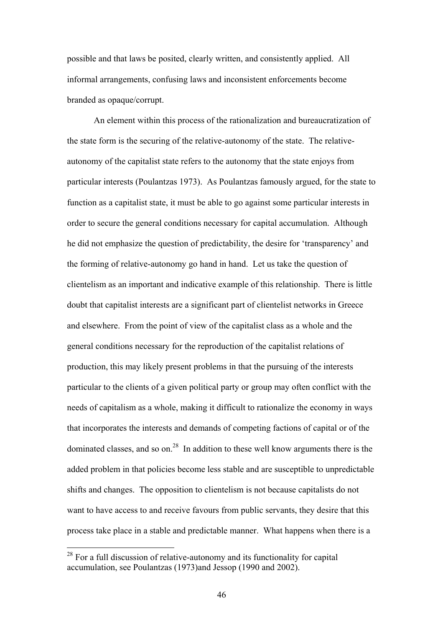possible and that laws be posited, clearly written, and consistently applied. All informal arrangements, confusing laws and inconsistent enforcements become branded as opaque/corrupt.

An element within this process of the rationalization and bureaucratization of the state form is the securing of the relative-autonomy of the state. The relativeautonomy of the capitalist state refers to the autonomy that the state enjoys from particular interests (Poulantzas 1973). As Poulantzas famously argued, for the state to function as a capitalist state, it must be able to go against some particular interests in order to secure the general conditions necessary for capital accumulation. Although he did not emphasize the question of predictability, the desire for 'transparency' and the forming of relative-autonomy go hand in hand. Let us take the question of clientelism as an important and indicative example of this relationship. There is little doubt that capitalist interests are a significant part of clientelist networks in Greece and elsewhere. From the point of view of the capitalist class as a whole and the general conditions necessary for the reproduction of the capitalist relations of production, this may likely present problems in that the pursuing of the interests particular to the clients of a given political party or group may often conflict with the needs of capitalism as a whole, making it difficult to rationalize the economy in ways that incorporates the interests and demands of competing factions of capital or of the dominated classes, and so on.<sup>28</sup> In addition to these well know arguments there is the added problem in that policies become less stable and are susceptible to unpredictable shifts and changes. The opposition to clientelism is not because capitalists do not want to have access to and receive favours from public servants, they desire that this process take place in a stable and predictable manner. What happens when there is a

<span id="page-45-0"></span> $28$  For a full discussion of relative-autonomy and its functionality for capital accumulation, see Poulantzas (1973)and Jessop (1990 and 2002).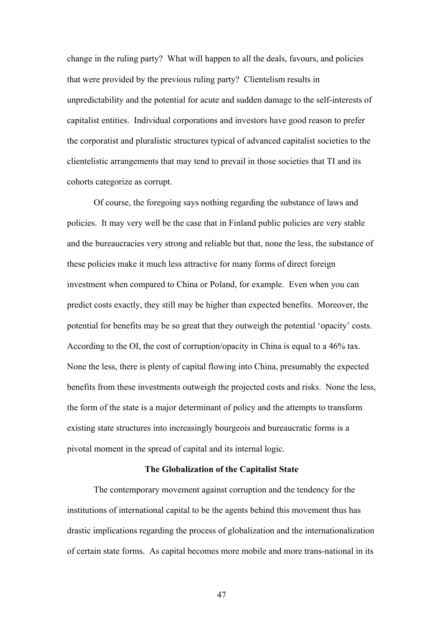change in the ruling party? What will happen to all the deals, favours, and policies that were provided by the previous ruling party? Clientelism results in unpredictability and the potential for acute and sudden damage to the self-interests of capitalist entities. Individual corporations and investors have good reason to prefer the corporatist and pluralistic structures typical of advanced capitalist societies to the clientelistic arrangements that may tend to prevail in those societies that TI and its cohorts categorize as corrupt.

Of course, the foregoing says nothing regarding the substance of laws and policies. It may very well be the case that in Finland public policies are very stable and the bureaucracies very strong and reliable but that, none the less, the substance of these policies make it much less attractive for many forms of direct foreign investment when compared to China or Poland, for example. Even when you can predict costs exactly, they still may be higher than expected benefits. Moreover, the potential for benefits may be so great that they outweigh the potential 'opacity' costs. According to the OI, the cost of corruption/opacity in China is equal to a 46% tax. None the less, there is plenty of capital flowing into China, presumably the expected benefits from these investments outweigh the projected costs and risks. None the less, the form of the state is a major determinant of policy and the attempts to transform existing state structures into increasingly bourgeois and bureaucratic forms is a pivotal moment in the spread of capital and its internal logic.

# **The Globalization of the Capitalist State**

The contemporary movement against corruption and the tendency for the institutions of international capital to be the agents behind this movement thus has drastic implications regarding the process of globalization and the internationalization of certain state forms. As capital becomes more mobile and more trans-national in its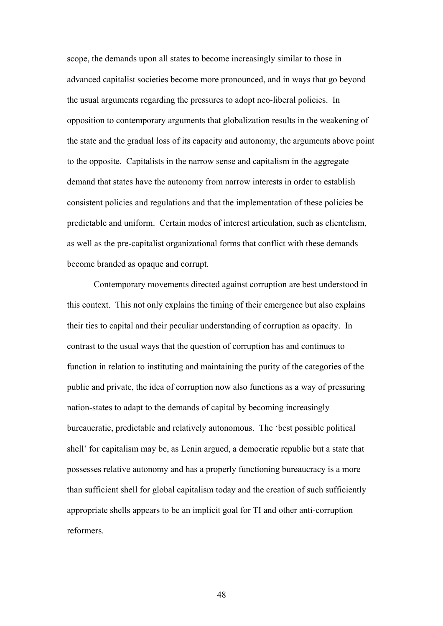scope, the demands upon all states to become increasingly similar to those in advanced capitalist societies become more pronounced, and in ways that go beyond the usual arguments regarding the pressures to adopt neo-liberal policies. In opposition to contemporary arguments that globalization results in the weakening of the state and the gradual loss of its capacity and autonomy, the arguments above point to the opposite. Capitalists in the narrow sense and capitalism in the aggregate demand that states have the autonomy from narrow interests in order to establish consistent policies and regulations and that the implementation of these policies be predictable and uniform. Certain modes of interest articulation, such as clientelism, as well as the pre-capitalist organizational forms that conflict with these demands become branded as opaque and corrupt.

Contemporary movements directed against corruption are best understood in this context. This not only explains the timing of their emergence but also explains their ties to capital and their peculiar understanding of corruption as opacity. In contrast to the usual ways that the question of corruption has and continues to function in relation to instituting and maintaining the purity of the categories of the public and private, the idea of corruption now also functions as a way of pressuring nation-states to adapt to the demands of capital by becoming increasingly bureaucratic, predictable and relatively autonomous. The 'best possible political shell' for capitalism may be, as Lenin argued, a democratic republic but a state that possesses relative autonomy and has a properly functioning bureaucracy is a more than sufficient shell for global capitalism today and the creation of such sufficiently appropriate shells appears to be an implicit goal for TI and other anti-corruption reformers.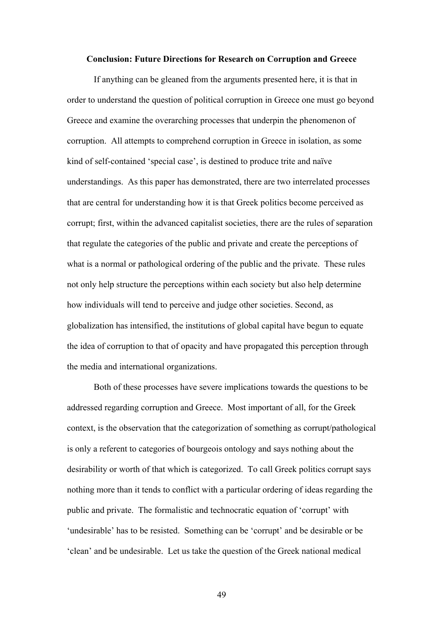#### **Conclusion: Future Directions for Research on Corruption and Greece**

If anything can be gleaned from the arguments presented here, it is that in order to understand the question of political corruption in Greece one must go beyond Greece and examine the overarching processes that underpin the phenomenon of corruption. All attempts to comprehend corruption in Greece in isolation, as some kind of self-contained 'special case', is destined to produce trite and naïve understandings. As this paper has demonstrated, there are two interrelated processes that are central for understanding how it is that Greek politics become perceived as corrupt; first, within the advanced capitalist societies, there are the rules of separation that regulate the categories of the public and private and create the perceptions of what is a normal or pathological ordering of the public and the private. These rules not only help structure the perceptions within each society but also help determine how individuals will tend to perceive and judge other societies. Second, as globalization has intensified, the institutions of global capital have begun to equate the idea of corruption to that of opacity and have propagated this perception through the media and international organizations.

Both of these processes have severe implications towards the questions to be addressed regarding corruption and Greece. Most important of all, for the Greek context, is the observation that the categorization of something as corrupt/pathological is only a referent to categories of bourgeois ontology and says nothing about the desirability or worth of that which is categorized. To call Greek politics corrupt says nothing more than it tends to conflict with a particular ordering of ideas regarding the public and private. The formalistic and technocratic equation of 'corrupt' with 'undesirable' has to be resisted. Something can be 'corrupt' and be desirable or be 'clean' and be undesirable. Let us take the question of the Greek national medical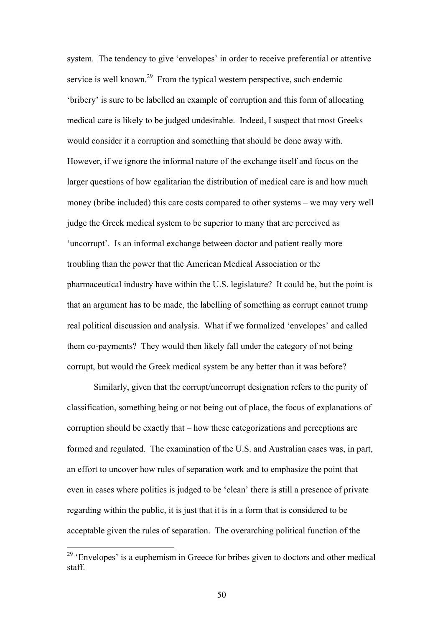system. The tendency to give 'envelopes' in order to receive preferential or attentive service is well known.<sup>29</sup> From the typical western perspective, such endemic 'bribery' is sure to be labelled an example of corruption and this form of allocating medical care is likely to be judged undesirable. Indeed, I suspect that most Greeks would consider it a corruption and something that should be done away with. However, if we ignore the informal nature of the exchange itself and focus on the larger questions of how egalitarian the distribution of medical care is and how much money (bribe included) this care costs compared to other systems – we may very well judge the Greek medical system to be superior to many that are perceived as 'uncorrupt'. Is an informal exchange between doctor and patient really more troubling than the power that the American Medical Association or the pharmaceutical industry have within the U.S. legislature? It could be, but the point is that an argument has to be made, the labelling of something as corrupt cannot trump real political discussion and analysis. What if we formalized 'envelopes' and called them co-payments? They would then likely fall under the category of not being corrupt, but would the Greek medical system be any better than it was before?

Similarly, given that the corrupt/uncorrupt designation refers to the purity of classification, something being or not being out of place, the focus of explanations of corruption should be exactly that – how these categorizations and perceptions are formed and regulated. The examination of the U.S. and Australian cases was, in part, an effort to uncover how rules of separation work and to emphasize the point that even in cases where politics is judged to be 'clean' there is still a presence of private regarding within the public, it is just that it is in a form that is considered to be acceptable given the rules of separation. The overarching political function of the

<span id="page-49-0"></span> $29$  'Envelopes' is a euphemism in Greece for bribes given to doctors and other medical staff.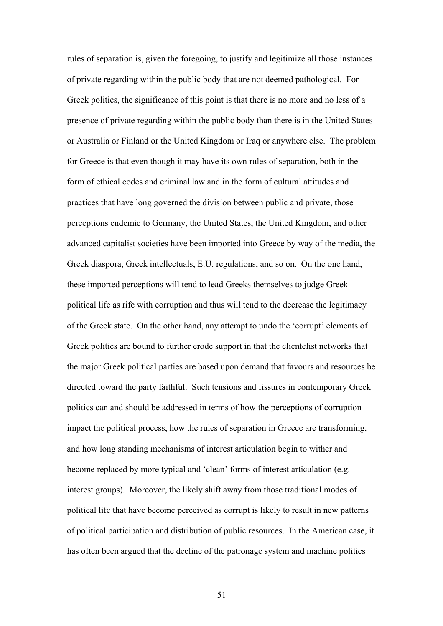rules of separation is, given the foregoing, to justify and legitimize all those instances of private regarding within the public body that are not deemed pathological. For Greek politics, the significance of this point is that there is no more and no less of a presence of private regarding within the public body than there is in the United States or Australia or Finland or the United Kingdom or Iraq or anywhere else. The problem for Greece is that even though it may have its own rules of separation, both in the form of ethical codes and criminal law and in the form of cultural attitudes and practices that have long governed the division between public and private, those perceptions endemic to Germany, the United States, the United Kingdom, and other advanced capitalist societies have been imported into Greece by way of the media, the Greek diaspora, Greek intellectuals, E.U. regulations, and so on. On the one hand, these imported perceptions will tend to lead Greeks themselves to judge Greek political life as rife with corruption and thus will tend to the decrease the legitimacy of the Greek state. On the other hand, any attempt to undo the 'corrupt' elements of Greek politics are bound to further erode support in that the clientelist networks that the major Greek political parties are based upon demand that favours and resources be directed toward the party faithful. Such tensions and fissures in contemporary Greek politics can and should be addressed in terms of how the perceptions of corruption impact the political process, how the rules of separation in Greece are transforming, and how long standing mechanisms of interest articulation begin to wither and become replaced by more typical and 'clean' forms of interest articulation (e.g. interest groups). Moreover, the likely shift away from those traditional modes of political life that have become perceived as corrupt is likely to result in new patterns of political participation and distribution of public resources. In the American case, it has often been argued that the decline of the patronage system and machine politics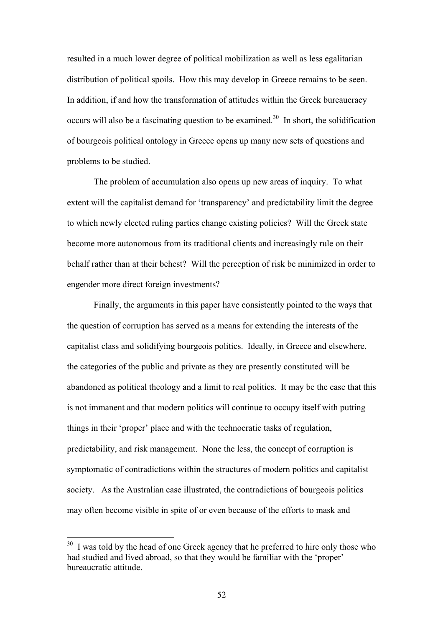resulted in a much lower degree of political mobilization as well as less egalitarian distribution of political spoils. How this may develop in Greece remains to be seen. In addition, if and how the transformation of attitudes within the Greek bureaucracy occurs will also be a fascinating question to be examined.<sup>30</sup> In short, the solidification of bourgeois political ontology in Greece opens up many new sets of questions and problems to be studied.

The problem of accumulation also opens up new areas of inquiry. To what extent will the capitalist demand for 'transparency' and predictability limit the degree to which newly elected ruling parties change existing policies? Will the Greek state become more autonomous from its traditional clients and increasingly rule on their behalf rather than at their behest? Will the perception of risk be minimized in order to engender more direct foreign investments?

Finally, the arguments in this paper have consistently pointed to the ways that the question of corruption has served as a means for extending the interests of the capitalist class and solidifying bourgeois politics. Ideally, in Greece and elsewhere, the categories of the public and private as they are presently constituted will be abandoned as political theology and a limit to real politics. It may be the case that this is not immanent and that modern politics will continue to occupy itself with putting things in their 'proper' place and with the technocratic tasks of regulation, predictability, and risk management. None the less, the concept of corruption is symptomatic of contradictions within the structures of modern politics and capitalist society. As the Australian case illustrated, the contradictions of bourgeois politics may often become visible in spite of or even because of the efforts to mask and

<span id="page-51-0"></span> $30\,$  I was told by the head of one Greek agency that he preferred to hire only those who had studied and lived abroad, so that they would be familiar with the 'proper' bureaucratic attitude.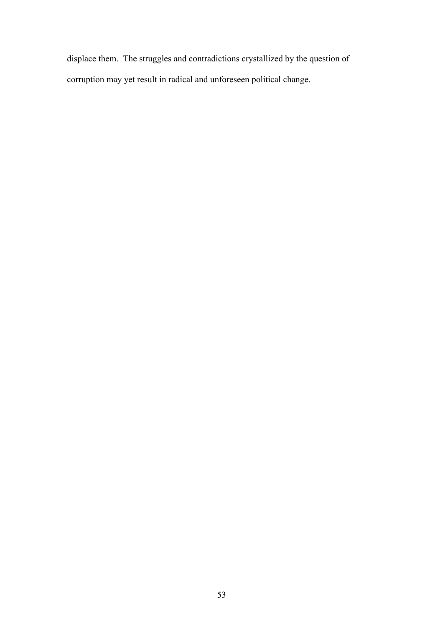displace them. The struggles and contradictions crystallized by the question of corruption may yet result in radical and unforeseen political change.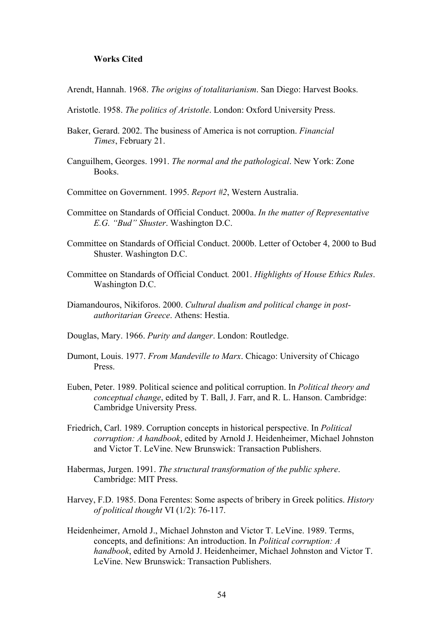#### **Works Cited**

- Arendt, Hannah. 1968. *The origins of totalitarianism*. San Diego: Harvest Books.
- Aristotle. 1958. *The politics of Aristotle*. London: Oxford University Press.
- Baker, Gerard. 2002. The business of America is not corruption. *Financial Times*, February 21.
- Canguilhem, Georges. 1991. *The normal and the pathological*. New York: Zone Books.
- Committee on Government. 1995. *Report #2*, Western Australia.
- Committee on Standards of Official Conduct. 2000a. *In the matter of Representative E.G. "Bud" Shuster*. Washington D.C.
- Committee on Standards of Official Conduct. 2000b. Letter of October 4, 2000 to Bud Shuster. Washington D.C.
- Committee on Standards of Official Conduct*.* 2001. *Highlights of House Ethics Rules*. Washington D.C.
- Diamandouros, Nikiforos. 2000. *Cultural dualism and political change in postauthoritarian Greece*. Athens: Hestia.
- Douglas, Mary. 1966. *Purity and danger*. London: Routledge.
- Dumont, Louis. 1977. *From Mandeville to Marx*. Chicago: University of Chicago Press.
- Euben, Peter. 1989. Political science and political corruption. In *Political theory and conceptual change*, edited by T. Ball, J. Farr, and R. L. Hanson. Cambridge: Cambridge University Press.
- Friedrich, Carl. 1989. Corruption concepts in historical perspective. In *Political corruption: A handbook*, edited by Arnold J. Heidenheimer, Michael Johnston and Victor T. LeVine. New Brunswick: Transaction Publishers.
- Habermas, Jurgen. 1991. *The structural transformation of the public sphere*. Cambridge: MIT Press.
- Harvey, F.D. 1985. Dona Ferentes: Some aspects of bribery in Greek politics. *History of political thought* VI (1/2): 76-117.
- Heidenheimer, Arnold J., Michael Johnston and Victor T. LeVine. 1989. Terms, concepts, and definitions: An introduction. In *Political corruption: A handbook*, edited by Arnold J. Heidenheimer, Michael Johnston and Victor T. LeVine. New Brunswick: Transaction Publishers.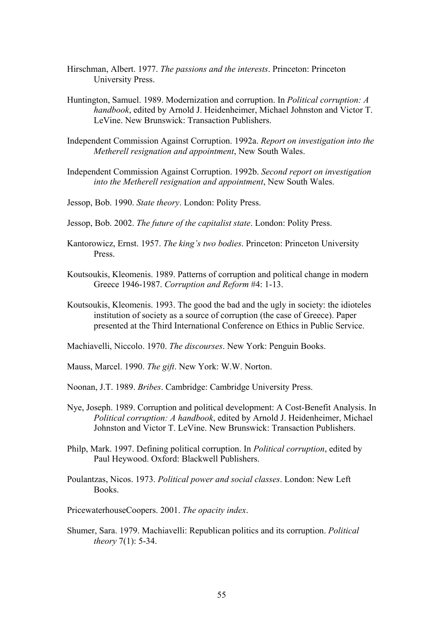- Hirschman, Albert. 1977. *The passions and the interests*. Princeton: Princeton University Press.
- Huntington, Samuel. 1989. Modernization and corruption. In *Political corruption: A handbook*, edited by Arnold J. Heidenheimer, Michael Johnston and Victor T. LeVine. New Brunswick: Transaction Publishers.
- Independent Commission Against Corruption. 1992a. *Report on investigation into the Metherell resignation and appointment*, New South Wales.
- Independent Commission Against Corruption. 1992b. *Second report on investigation into the Metherell resignation and appointment*, New South Wales.
- Jessop, Bob. 1990. *State theory*. London: Polity Press.
- Jessop, Bob. 2002. *The future of the capitalist state*. London: Polity Press.
- Kantorowicz, Ernst. 1957. *The king's two bodies*. Princeton: Princeton University Press.
- Koutsoukis, Kleomenis. 1989. Patterns of corruption and political change in modern Greece 1946-1987. *Corruption and Reform* #4: 1-13.
- Koutsoukis, Kleomenis. 1993. The good the bad and the ugly in society: the idioteles institution of society as a source of corruption (the case of Greece). Paper presented at the Third International Conference on Ethics in Public Service.
- Machiavelli, Niccolo. 1970. *The discourses*. New York: Penguin Books.
- Mauss, Marcel. 1990. *The gift*. New York: W.W. Norton.
- Noonan, J.T. 1989. *Bribes*. Cambridge: Cambridge University Press.
- Nye, Joseph. 1989. Corruption and political development: A Cost-Benefit Analysis. In *Political corruption: A handbook*, edited by Arnold J. Heidenheimer, Michael Johnston and Victor T. LeVine. New Brunswick: Transaction Publishers.
- Philp, Mark. 1997. Defining political corruption. In *Political corruption*, edited by Paul Heywood. Oxford: Blackwell Publishers.
- Poulantzas, Nicos. 1973. *Political power and social classes*. London: New Left Books.
- PricewaterhouseCoopers. 2001. *The opacity index*.
- Shumer, Sara. 1979. Machiavelli: Republican politics and its corruption. *Political theory* 7(1): 5-34.